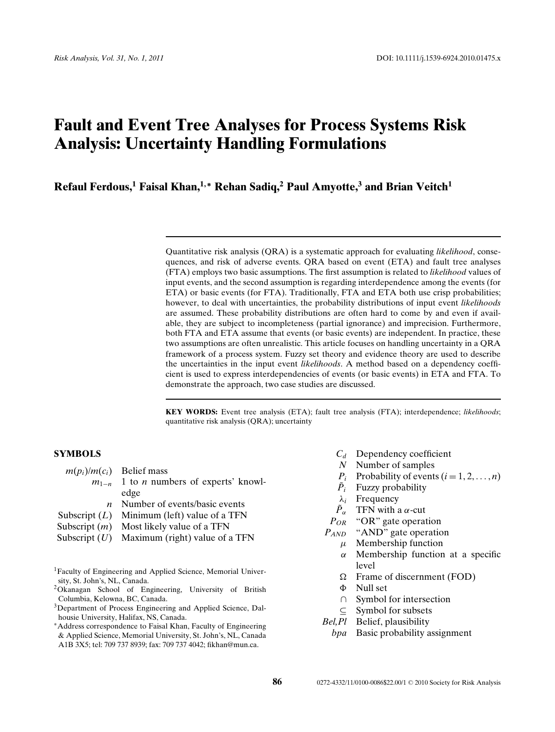# **Fault and Event Tree Analyses for Process Systems Risk Analysis: Uncertainty Handling Formulations**

**Refaul Ferdous,1 Faisal Khan,<sup>1</sup>***,***<sup>∗</sup> Rehan Sadiq,2 Paul Amyotte,<sup>3</sup> and Brian Veitch<sup>1</sup>**

Quantitative risk analysis (QRA) is a systematic approach for evaluating *likelihood*, consequences, and risk of adverse events. QRA based on event (ETA) and fault tree analyses (FTA) employs two basic assumptions. The first assumption is related to *likelihood* values of input events, and the second assumption is regarding interdependence among the events (for ETA) or basic events (for FTA). Traditionally, FTA and ETA both use crisp probabilities; however, to deal with uncertainties, the probability distributions of input event *likelihoods* are assumed. These probability distributions are often hard to come by and even if available, they are subject to incompleteness (partial ignorance) and imprecision. Furthermore, both FTA and ETA assume that events (or basic events) are independent. In practice, these two assumptions are often unrealistic. This article focuses on handling uncertainty in a QRA framework of a process system. Fuzzy set theory and evidence theory are used to describe the uncertainties in the input event *likelihoods*. A method based on a dependency coefficient is used to express interdependencies of events (or basic events) in ETA and FTA. To demonstrate the approach, two case studies are discussed.

**KEY WORDS:** Event tree analysis (ETA); fault tree analysis (FTA); interdependence; *likelihoods*; quantitative risk analysis (QRA); uncertainty

# **SYMBOLS**

| $m(p_i)/m(c_i)$ Belief mass |                                          |
|-----------------------------|------------------------------------------|
| $m_{1-n}$                   | 1 to <i>n</i> numbers of experts' knowl- |
|                             | edge                                     |
| $\boldsymbol{n}$            | Number of events/basic events            |
| Subscript $(L)$             | Minimum (left) value of a TFN            |
| Subscript $(m)$             | Most likely value of a TFN               |
| Subscript $(U)$             | Maximum (right) value of a TFN           |

<sup>1</sup>Faculty of Engineering and Applied Science, Memorial University, St. John's, NL, Canada.

- 2Okanagan School of Engineering, University of British Columbia, Kelowna, BC, Canada.
- 3Department of Process Engineering and Applied Science, Dalhousie University, Halifax, NS, Canada.
- <sup>∗</sup>Address correspondence to Faisal Khan, Faculty of Engineering & Applied Science, Memorial University, St. John's, NL, Canada A1B 3X5; tel: 709 737 8939; fax: 709 737 4042; fikhan@mun.ca.
- *Cd* Dependency coefficient
- *N* Number of samples
- *P<sub>i</sub>* Probability of events  $(i = 1, 2, ..., n)$ <br>*P<sub>i</sub>* Fuzzy probability
- **Fuzzy** probability
- λ*<sup>i</sup>* Frequency
- $\tilde{P}_{\alpha}$  TFN with a  $\alpha$ -cut
- *POR* "OR" gate operation
- *P<sub>AND</sub>* "AND" gate operation
	- $\mu$  Membership function
	- $\alpha$  Membership function at a specific level
	- $\Omega$  Frame of discernment (FOD)
	- $\Phi$  Null set
	- ∩ Symbol for intersection
	- ⊆ Symbol for subsets
- *Bel,Pl* Belief, plausibility
	- *bpa* Basic probability assignment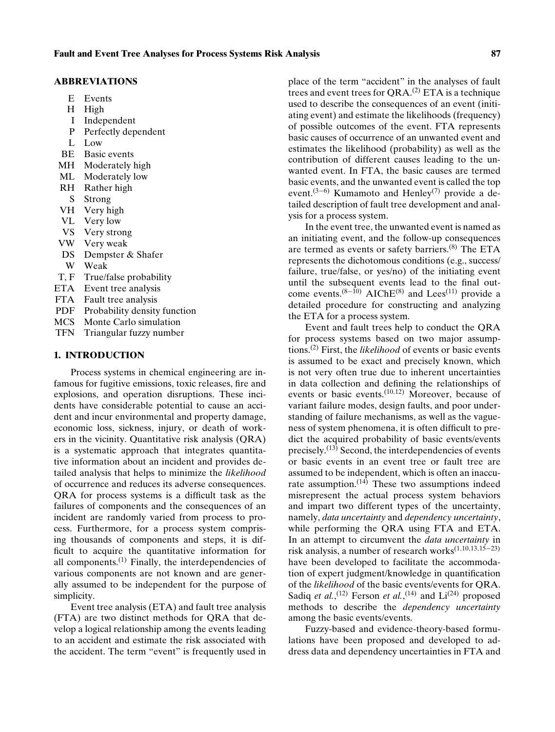## **ABBREVIATIONS**

- E Events
- H High
- I Independent
- P Perfectly dependent
- L Low
- BE Basic events
- MH Moderately high
- ML Moderately low
- RH Rather high
- S Strong
- VH Very high
- VL Very low
- VS Very strong
- VW Very weak
- DS Dempster & Shafer
- W Weak
- T, F True/false probability
- ETA Event tree analysis
- FTA Fault tree analysis
- PDF Probability density function
- MCS Monte Carlo simulation
- TFN Triangular fuzzy number

#### **1. INTRODUCTION**

Process systems in chemical engineering are infamous for fugitive emissions, toxic releases, fire and explosions, and operation disruptions. These incidents have considerable potential to cause an accident and incur environmental and property damage, economic loss, sickness, injury, or death of workers in the vicinity. Quantitative risk analysis (QRA) is a systematic approach that integrates quantitative information about an incident and provides detailed analysis that helps to minimize the *likelihood* of occurrence and reduces its adverse consequences. QRA for process systems is a difficult task as the failures of components and the consequences of an incident are randomly varied from process to process. Furthermore, for a process system comprising thousands of components and steps, it is difficult to acquire the quantitative information for all components. $(1)$  Finally, the interdependencies of various components are not known and are generally assumed to be independent for the purpose of simplicity.

Event tree analysis (ETA) and fault tree analysis (FTA) are two distinct methods for QRA that develop a logical relationship among the events leading to an accident and estimate the risk associated with the accident. The term "event" is frequently used in place of the term "accident" in the analyses of fault trees and event trees for  $QRA$ .<sup>(2)</sup> ETA is a technique used to describe the consequences of an event (initiating event) and estimate the likelihoods (frequency) of possible outcomes of the event. FTA represents basic causes of occurrence of an unwanted event and estimates the likelihood (probability) as well as the contribution of different causes leading to the unwanted event. In FTA, the basic causes are termed basic events, and the unwanted event is called the top event.<sup>(3−6)</sup> Kumamoto and Henley<sup>(7)</sup> provide a detailed description of fault tree development and analysis for a process system.

In the event tree, the unwanted event is named as an initiating event, and the follow-up consequences are termed as events or safety barriers.<sup>(8)</sup> The ETA represents the dichotomous conditions (e.g., success/ failure, true/false, or yes/no) of the initiating event until the subsequent events lead to the final outcome events.<sup>(8−10)</sup> AIChE<sup>(8)</sup> and Lees<sup>(11)</sup> provide a detailed procedure for constructing and analyzing the ETA for a process system.

Event and fault trees help to conduct the QRA for process systems based on two major assumptions.(2) First, the *likelihood* of events or basic events is assumed to be exact and precisely known, which is not very often true due to inherent uncertainties in data collection and defining the relationships of events or basic events.(10,12) Moreover, because of variant failure modes, design faults, and poor understanding of failure mechanisms, as well as the vagueness of system phenomena, it is often difficult to predict the acquired probability of basic events/events precisely.<sup> $(13)$ </sup> Second, the interdependencies of events or basic events in an event tree or fault tree are assumed to be independent, which is often an inaccurate assumption.<sup> $(14)$ </sup> These two assumptions indeed misrepresent the actual process system behaviors and impart two different types of the uncertainty, namely, *data uncertainty* and *dependency uncertainty*, while performing the QRA using FTA and ETA. In an attempt to circumvent the *data uncertainty* in risk analysis, a number of research works(1,10,13,15−23) have been developed to facilitate the accommodation of expert judgment/knowledge in quantification of the *likelihood* of the basic events/events for QRA. Sadiq *et al.*,<sup>(12)</sup> Ferson *et al.*,<sup>(14)</sup> and Li<sup>(24)</sup> proposed methods to describe the *dependency uncertainty* among the basic events/events.

Fuzzy-based and evidence-theory-based formulations have been proposed and developed to address data and dependency uncertainties in FTA and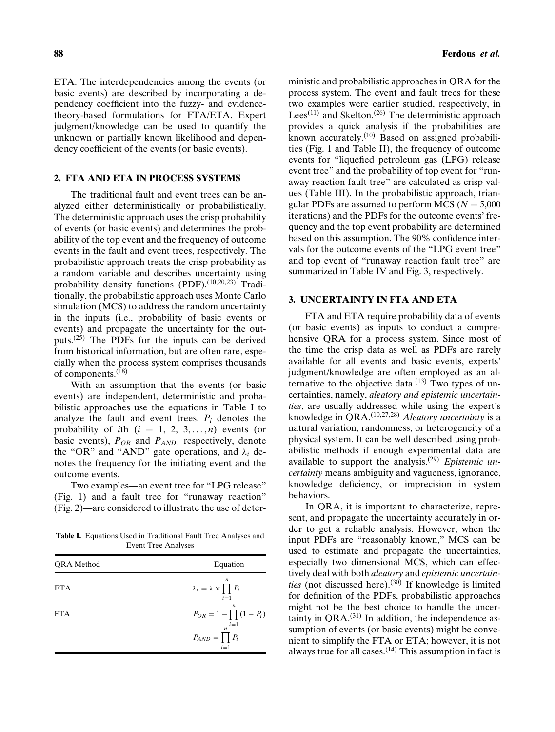ETA. The interdependencies among the events (or basic events) are described by incorporating a dependency coefficient into the fuzzy- and evidencetheory-based formulations for FTA/ETA. Expert judgment/knowledge can be used to quantify the unknown or partially known likelihood and dependency coefficient of the events (or basic events).

# **2. FTA AND ETA IN PROCESS SYSTEMS**

The traditional fault and event trees can be analyzed either deterministically or probabilistically. The deterministic approach uses the crisp probability of events (or basic events) and determines the probability of the top event and the frequency of outcome events in the fault and event trees, respectively. The probabilistic approach treats the crisp probability as a random variable and describes uncertainty using probability density functions  $(PDF)$ .<sup>(10,20,23)</sup> Traditionally, the probabilistic approach uses Monte Carlo simulation (MCS) to address the random uncertainty in the inputs (i.e., probability of basic events or events) and propagate the uncertainty for the outputs.(25) The PDFs for the inputs can be derived from historical information, but are often rare, especially when the process system comprises thousands of components.(18)

With an assumption that the events (or basic events) are independent, deterministic and probabilistic approaches use the equations in Table I to analyze the fault and event trees.  $P_i$  denotes the probability of *i*th  $(i = 1, 2, 3, \ldots, n)$  events (or basic events), *POR* and *PAND*, respectively, denote the "OR" and "AND" gate operations, and  $\lambda_i$  denotes the frequency for the initiating event and the outcome events.

Two examples—an event tree for "LPG release" (Fig. 1) and a fault tree for "runaway reaction" (Fig. 2)—are considered to illustrate the use of deter-

**Table I.** Equations Used in Traditional Fault Tree Analyses and Event Tree Analyses

| <b>ORA</b> Method | Equation                                                         |
|-------------------|------------------------------------------------------------------|
| <b>ETA</b>        | n<br>$\lambda_i = \lambda \times \prod P_i$<br>$i=1$             |
| <b>FTA</b>        | $\boldsymbol{n}$<br>$P_{OR} = 1 - \prod (1 - P_i)$<br>$i=1$<br>n |
|                   | $P_{AND} = \prod P_i$<br>$i=1$                                   |

ministic and probabilistic approaches in QRA for the process system. The event and fault trees for these two examples were earlier studied, respectively, in Lees<sup>(11)</sup> and Skelton.<sup>(26)</sup> The deterministic approach provides a quick analysis if the probabilities are known accurately. $(10)$  Based on assigned probabilities (Fig. 1 and Table II), the frequency of outcome events for "liquefied petroleum gas (LPG) release event tree" and the probability of top event for "runaway reaction fault tree" are calculated as crisp values (Table III). In the probabilistic approach, triangular PDFs are assumed to perform MCS ( $N = 5,000$ ) iterations) and the PDFs for the outcome events' frequency and the top event probability are determined based on this assumption. The 90% confidence intervals for the outcome events of the "LPG event tree" and top event of "runaway reaction fault tree" are summarized in Table IV and Fig. 3, respectively.

# **3. UNCERTAINTY IN FTA AND ETA**

FTA and ETA require probability data of events (or basic events) as inputs to conduct a comprehensive QRA for a process system. Since most of the time the crisp data as well as PDFs are rarely available for all events and basic events, experts' judgment/knowledge are often employed as an alternative to the objective data.<sup> $(13)$ </sup> Two types of uncertainties, namely, *aleatory and epistemic uncertainties*, are usually addressed while using the expert's knowledge in QRA.(10,27,28) *Aleatory uncertainty* is a natural variation, randomness, or heterogeneity of a physical system. It can be well described using probabilistic methods if enough experimental data are available to support the analysis.(29) *Epistemic uncertainty* means ambiguity and vagueness, ignorance, knowledge deficiency, or imprecision in system behaviors.

In QRA, it is important to characterize, represent, and propagate the uncertainty accurately in order to get a reliable analysis. However, when the input PDFs are "reasonably known," MCS can be used to estimate and propagate the uncertainties, especially two dimensional MCS, which can effectively deal with both *aleatory* and *epistemic uncertainties* (not discussed here).<sup>(30)</sup> If knowledge is limited for definition of the PDFs, probabilistic approaches might not be the best choice to handle the uncertainty in  $QRA$ .<sup> $(31)$ </sup> In addition, the independence assumption of events (or basic events) might be convenient to simplify the FTA or ETA; however, it is not always true for all cases. $(14)$  This assumption in fact is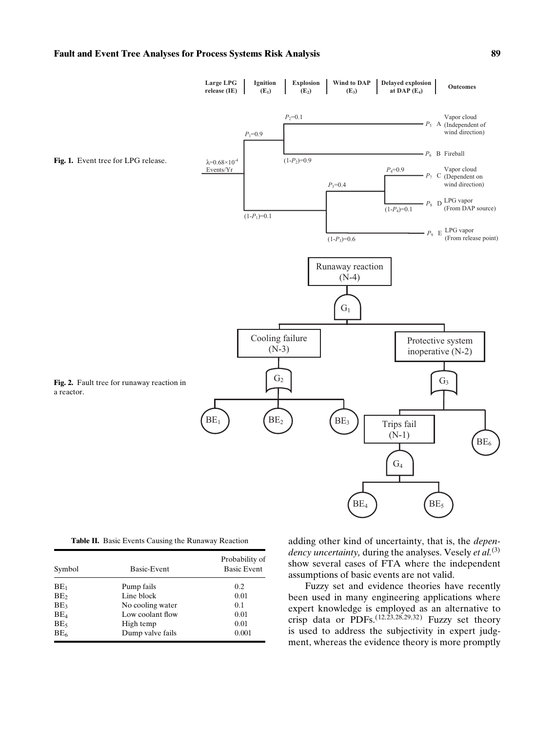

|  | Table II. Basic Events Causing the Runaway Reaction |  |  |  |
|--|-----------------------------------------------------|--|--|--|
|--|-----------------------------------------------------|--|--|--|

| Symbol          | Basic-Event      | Probability of<br><b>Basic Event</b> |
|-----------------|------------------|--------------------------------------|
| BE <sub>1</sub> | Pump fails       | 0.2                                  |
| BE <sub>2</sub> | Line block       | 0.01                                 |
| BE <sub>3</sub> | No cooling water | 0.1                                  |
| BE <sub>4</sub> | Low coolant flow | 0.01                                 |
| BE <sub>5</sub> | High temp        | 0.01                                 |
| BE <sub>6</sub> | Dump valve fails | 0.001                                |

adding other kind of uncertainty, that is, the *dependency uncertainty,* during the analyses. Vesely *et al.*(3) show several cases of FTA where the independent assumptions of basic events are not valid.

Fuzzy set and evidence theories have recently been used in many engineering applications where expert knowledge is employed as an alternative to crisp data or PDFs.<sup>(12,23,28,29,32)</sup> Fuzzy set theory is used to address the subjectivity in expert judgment, whereas the evidence theory is more promptly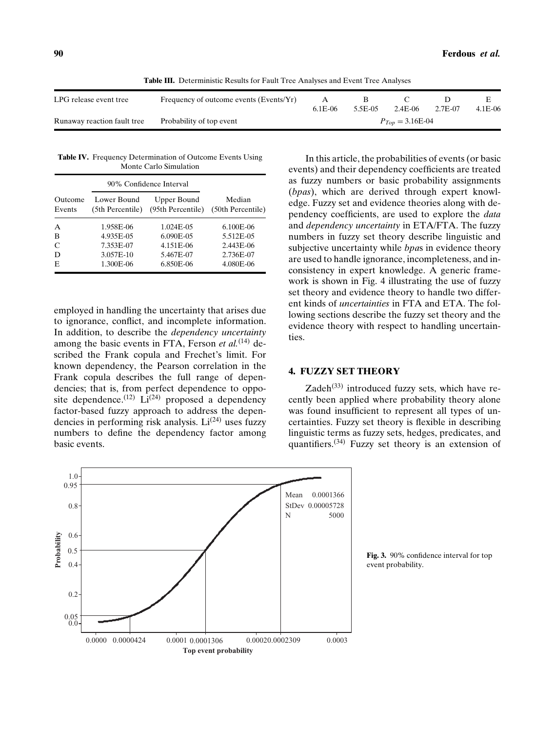| LPG release event tree      | Frequency of outcome events (Events/Yr) | А<br>$6.1E-06$ | 5.5E-05 | 2.4E-06              | 2.7E-07 | $4.1E - 06$ |
|-----------------------------|-----------------------------------------|----------------|---------|----------------------|---------|-------------|
| Runaway reaction fault tree | Probability of top event                |                |         | $P_{Top} = 3.16E-04$ |         |             |

**Table III.** Deterministic Results for Fault Tree Analyses and Event Tree Analyses

**Table IV.** Frequency Determination of Outcome Events Using Monte Carlo Simulation

|                   |                                 | 90% Confidence Interval                 |                             |
|-------------------|---------------------------------|-----------------------------------------|-----------------------------|
| Outcome<br>Events | Lower Bound<br>(5th Percentile) | <b>Upper Bound</b><br>(95th Percentile) | Median<br>(50th Percentile) |
| A                 | 1.958E-06                       | $1.024E - 0.5$                          | $6.100E-06$                 |
| B                 | 4.935E-05                       | $6.090E - 0.5$                          | 5.512E-05                   |
| C                 | 7.353E-07                       | 4.151E-06                               | 2.443E-06                   |
| D                 | 3.057E-10                       | 5.467E-07                               | 2.736E-07                   |
| E                 | 1.300E-06                       | 6.850E-06                               | 4.080E-06                   |

employed in handling the uncertainty that arises due to ignorance, conflict, and incomplete information. In addition, to describe the *dependency uncertainty* among the basic events in FTA, Ferson *et al.*<sup>(14)</sup> described the Frank copula and Frechet's limit. For known dependency, the Pearson correlation in the Frank copula describes the full range of dependencies; that is, from perfect dependence to opposite dependence.<sup>(12)</sup> Li<sup>(24)</sup> proposed a dependency factor-based fuzzy approach to address the dependencies in performing risk analysis.  $Li<sup>(24)</sup>$  uses fuzzy numbers to define the dependency factor among basic events.



In this article, the probabilities of events (or basic events) and their dependency coefficients are treated as fuzzy numbers or basic probability assignments (*bpas*), which are derived through expert knowledge. Fuzzy set and evidence theories along with dependency coefficients, are used to explore the *data* and *dependency uncertainty* in ETA/FTA. The fuzzy numbers in fuzzy set theory describe linguistic and subjective uncertainty while *bpa*s in evidence theory are used to handle ignorance, incompleteness, and inconsistency in expert knowledge. A generic framework is shown in Fig. 4 illustrating the use of fuzzy set theory and evidence theory to handle two different kinds of *uncertainties* in FTA and ETA. The following sections describe the fuzzy set theory and the evidence theory with respect to handling uncertainties.

# **4. FUZZY SET THEORY**

Zadeh $^{(33)}$  introduced fuzzy sets, which have recently been applied where probability theory alone was found insufficient to represent all types of uncertainties. Fuzzy set theory is flexible in describing linguistic terms as fuzzy sets, hedges, predicates, and quantifiers.(34) Fuzzy set theory is an extension of

**Fig. 3.** 90% confidence interval for top event probability.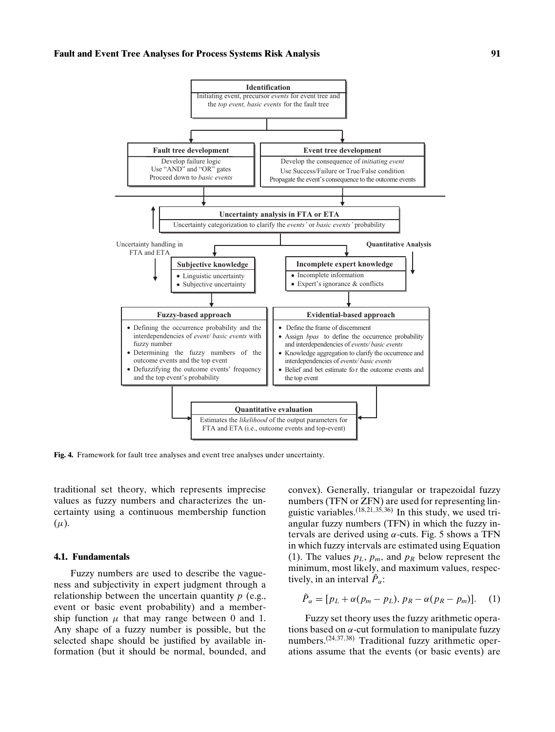

**Fig. 4.** Framework for fault tree analyses and event tree analyses under uncertainty.

traditional set theory, which represents imprecise values as fuzzy numbers and characterizes the uncertainty using a continuous membership function  $(\mu)$ .

#### **4.1. Fundamentals**

Fuzzy numbers are used to describe the vagueness and subjectivity in expert judgment through a relationship between the uncertain quantity  $p$  (e.g., event or basic event probability) and a membership function  $\mu$  that may range between 0 and 1. Any shape of a fuzzy number is possible, but the selected shape should be justified by available information (but it should be normal, bounded, and

convex). Generally, triangular or trapezoidal fuzzy numbers (TFN or ZFN) are used for representing linguistic variables.<sup>(18,21,35,36)</sup> In this study, we used triangular fuzzy numbers (TFN) in which the fuzzy intervals are derived using  $\alpha$ -cuts. Fig. 5 shows a TFN in which fuzzy intervals are estimated using Equation (1). The values  $p_L$ ,  $p_m$ , and  $p_R$  below represent the minimum, most likely, and maximum values, respectively, in an interval  $\tilde{P}_{\alpha}$ :

$$
\tilde{P}_{\alpha} = [p_L + \alpha (p_m - p_L), p_R - \alpha (p_R - p_m)]. \quad (1)
$$

Fuzzy set theory uses the fuzzy arithmetic operations based on α*-*cut formulation to manipulate fuzzy numbers.<sup> $(24,37,38)$ </sup> Traditional fuzzy arithmetic operations assume that the events (or basic events) are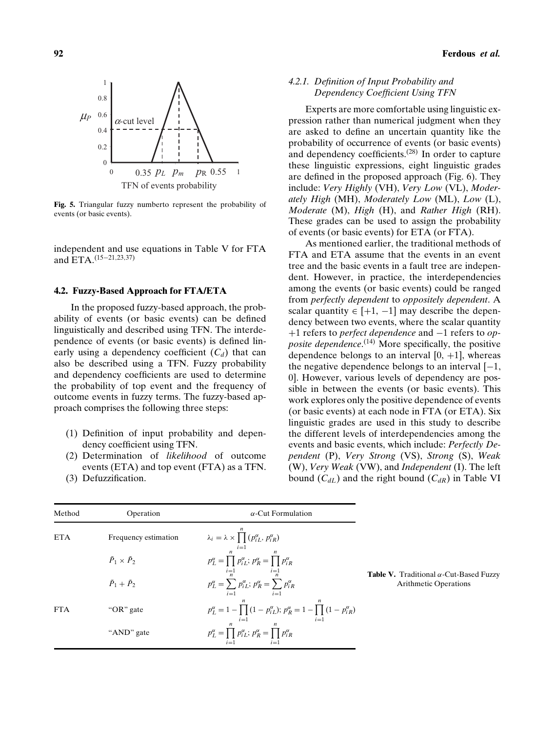

**Fig. 5.** Triangular fuzzy numberto represent the probability of events (or basic events).

independent and use equations in Table V for FTA and ETA.(15−21,23,37)

# **4.2. Fuzzy-Based Approach for FTA/ETA**

In the proposed fuzzy-based approach, the probability of events (or basic events) can be defined linguistically and described using TFN. The interdependence of events (or basic events) is defined linearly using a dependency coefficient  $(C_d)$  that can also be described using a TFN. Fuzzy probability and dependency coefficients are used to determine the probability of top event and the frequency of outcome events in fuzzy terms. The fuzzy-based approach comprises the following three steps:

- (1) Definition of input probability and dependency coefficient using TFN.
- (2) Determination of *likelihood* of outcome events (ETA) and top event (FTA) as a TFN.
- (3) Defuzzification.

# *4.2.1. Definition of Input Probability and Dependency Coefficient Using TFN*

Experts are more comfortable using linguistic expression rather than numerical judgment when they are asked to define an uncertain quantity like the probability of occurrence of events (or basic events) and dependency coefficients.<sup>(28)</sup> In order to capture these linguistic expressions, eight linguistic grades are defined in the proposed approach (Fig. 6). They include: *Very Highly* (VH), *Very Low* (VL), *Moderately High* (MH), *Moderately Low* (ML), *Low* (L), *Moderate* (M), *High* (H), and *Rather High* (RH). These grades can be used to assign the probability of events (or basic events) for ETA (or FTA).

As mentioned earlier, the traditional methods of FTA and ETA assume that the events in an event tree and the basic events in a fault tree are independent. However, in practice, the interdependencies among the events (or basic events) could be ranged from *perfectly dependent* to *oppositely dependent*. A scalar quantity  $\in$  [+1, -1] may describe the dependency between two events, where the scalar quantity +1 refers to *perfect dependence* and −1 refers to *opposite dependence*. (14) More specifically, the positive dependence belongs to an interval  $[0, +1]$ , whereas the negative dependence belongs to an interval  $[-1,$ 0]. However, various levels of dependency are possible in between the events (or basic events). This work explores only the positive dependence of events (or basic events) at each node in FTA (or ETA). Six linguistic grades are used in this study to describe the different levels of interdependencies among the events and basic events, which include: *Perfectly Dependent* (P), *Very Strong* (VS), *Strong* (S), *Weak* (W), *Very Weak* (VW), and *Independent* (I). The left bound  $(C_{dL})$  and the right bound  $(C_{dR})$  in Table VI

| Method     | Operation                        | $\alpha$ -Cut Formulation                                                                                                  |
|------------|----------------------------------|----------------------------------------------------------------------------------------------------------------------------|
| <b>ETA</b> | Frequency estimation             | n<br>$\lambda_i = \lambda \times \prod (p_{iL}^{\alpha}, p_{iR}^{\alpha})$<br>$i=1$                                        |
|            | $\tilde{P}_1 \times \tilde{P}_2$ | $p_L^{\alpha} = \prod p_{iL}^{\alpha}; p_R^{\alpha} = \prod p_{iR}^{\alpha}$                                               |
|            | $\tilde{P}_1+\tilde{P}_2$        | $i=1$ $i=1$<br>$p_L^{\alpha} = \sum p_{i}^{\alpha}$ ; $p_R^{\alpha} = \sum p_{iR}^{\alpha}$<br>$i=1$ $i=1$                 |
| <b>FTA</b> | "OR" gate                        | $p_L^{\alpha} = 1 - \prod^n (1 - p_{iL}^{\alpha}); p_R^{\alpha} = 1 - \prod^n (1 - p_{iR}^{\alpha})$<br>$i=1$<br>$i=1$ $n$ |
|            | "AND" gate                       | $p_L^{\alpha} = \prod p_{i}^{\alpha}$ ; $p_R^{\alpha} = \prod p_{iR}^{\alpha}$<br>$i=1$<br>$i=1$                           |

**Table V.** Traditional α*-*Cut-Based Fuzzy Arithmetic Operations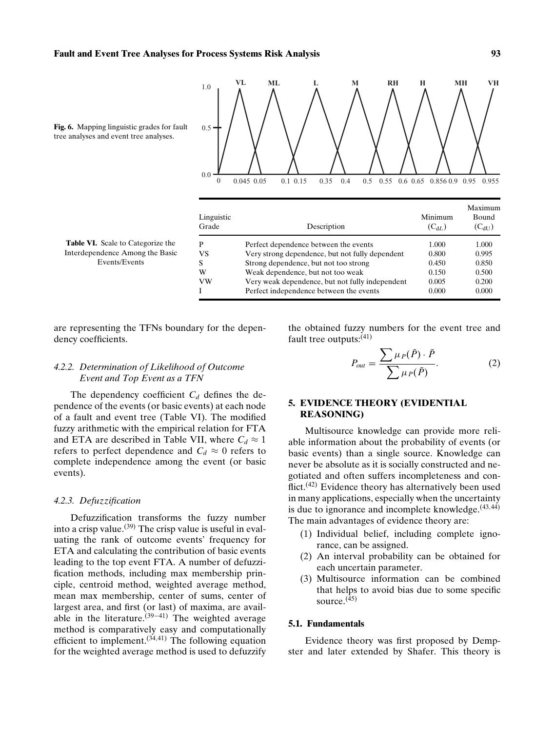

1.0 **VL ML L M RH** 

are representing the TFNs boundary for the dependency coefficients.

# *4.2.2. Determination of Likelihood of Outcome Event and Top Event as a TFN*

The dependency coefficient  $C_d$  defines the dependence of the events (or basic events) at each node of a fault and event tree (Table VI). The modified fuzzy arithmetic with the empirical relation for FTA and ETA are described in Table VII, where  $C_d \approx 1$ refers to perfect dependence and  $C_d \approx 0$  refers to complete independence among the event (or basic events).

## *4.2.3. Defuzzification*

Defuzzification transforms the fuzzy number into a crisp value.(39) The crisp value is useful in evaluating the rank of outcome events' frequency for ETA and calculating the contribution of basic events leading to the top event FTA. A number of defuzzification methods, including max membership principle, centroid method, weighted average method, mean max membership, center of sums, center of largest area, and first (or last) of maxima, are available in the literature. $(39-41)$  The weighted average method is comparatively easy and computationally efficient to implement.  $(34, 41)$  The following equation for the weighted average method is used to defuzzify the obtained fuzzy numbers for the event tree and fault tree outputs: $(41)$ 

$$
P_{out} = \frac{\sum \mu_P(\tilde{P}) \cdot \tilde{P}}{\sum \mu_P(\tilde{P})}.
$$
 (2)

# **5. EVIDENCE THEORY (EVIDENTIAL REASONING)**

**VL ML L M H MH VH**

Multisource knowledge can provide more reliable information about the probability of events (or basic events) than a single source. Knowledge can never be absolute as it is socially constructed and negotiated and often suffers incompleteness and conflict.<sup> $(42)$ </sup> Evidence theory has alternatively been used in many applications, especially when the uncertainty is due to ignorance and incomplete knowledge. $(43,44)$ The main advantages of evidence theory are:

- (1) Individual belief, including complete ignorance, can be assigned.
- (2) An interval probability can be obtained for each uncertain parameter.
- (3) Multisource information can be combined that helps to avoid bias due to some specific source. $(45)$

## **5.1. Fundamentals**

Evidence theory was first proposed by Dempster and later extended by Shafer. This theory is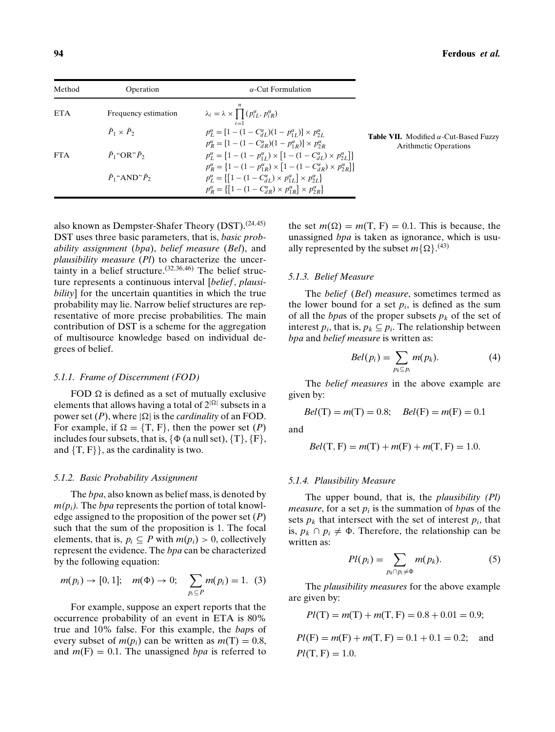| Method     | Operation                         | $\alpha$ -Cut Formulation                                                                                                                                                                                                                                                                                                                                        |                                                      |
|------------|-----------------------------------|------------------------------------------------------------------------------------------------------------------------------------------------------------------------------------------------------------------------------------------------------------------------------------------------------------------------------------------------------------------|------------------------------------------------------|
| <b>ETA</b> | Frequency estimation              | n<br>$\lambda_i = \lambda \times \prod (p_{iL}^{\alpha}, p_{iR}^{\alpha})$                                                                                                                                                                                                                                                                                       |                                                      |
|            | $\bar{P}_1 \times \bar{P}_2$      | $i=1$<br>$p_I^{\alpha} = [1 - (1 - C_{dI}^{\alpha})(1 - p_{1I}^{\alpha})] \times p_{2I}^{\alpha}$<br>$p_{p}^{\alpha} = [1 - (1 - C_{AD}^{\alpha})(1 - p_{1p}^{\alpha})] \times p_{2p}^{\alpha}$                                                                                                                                                                  | <b>Table VII.</b> Modified $\alpha$ -Cut-Based Fuzzy |
| <b>FTA</b> | $\tilde{P}_1$ "OR" $\tilde{P}_2$  | $p_{I}^{\alpha} = \left\{1 - (1 - p_{1I}^{\alpha}) \times \left[1 - (1 - C_{dI}^{\alpha}) \times p_{2I}^{\alpha}\right]\right\}$                                                                                                                                                                                                                                 | <b>Arithmetic Operations</b>                         |
|            | $\tilde{P}_1$ "AND" $\tilde{P}_2$ | $p_R^{\alpha} = \left\{1 - (1 - p_{1R}^{\alpha}) \times \left[1 - (1 - C_{dR}^{\alpha}) \times p_{2R}^{\alpha}\right]\right\}$<br>$p_{I}^{\alpha} = \left\{ \left[ 1 - (1 - C_{dI}^{\alpha}) \times p_{1I}^{\alpha} \right] \times p_{2I}^{\alpha} \right\}$<br>$p_R^{\alpha} = \{ [1 - (1 - C_{dR}^{\alpha}) \times p_{1R}^{\alpha}] \times p_{2R}^{\alpha} \}$ |                                                      |

also known as Dempster-Shafer Theory (DST). $(24,45)$ DST uses three basic parameters, that is, *basic probability assignment* (*bpa*), *belief measure* (*Bel*), and *plausibility measure* (*Pl*) to characterize the uncertainty in a belief structure.<sup>(32,36,46)</sup> The belief structure represents a continuous interval [*belief*, *plausibility*] for the uncertain quantities in which the true probability may lie. Narrow belief structures are representative of more precise probabilities. The main contribution of DST is a scheme for the aggregation of multisource knowledge based on individual degrees of belief.

#### *5.1.1. Frame of Discernment (FOD)*

FOD  $\Omega$  is defined as a set of mutually exclusive elements that allows having a total of  $2^{|\Omega|}$  subsets in a power set  $(P)$ , where  $|\Omega|$  is the *cardinality* of an FOD. For example, if  $\Omega = \{T, F\}$ , then the power set (*P*) includes four subsets, that is,  $\{\Phi$  (a null set),  $\{T\}$ ,  $\{F\}$ , and  $\{T, F\}$ , as the cardinality is two.

#### *5.1.2. Basic Probability Assignment*

The *bpa*, also known as belief mass, is denoted by  $m(p_i)$ . The *bpa* represents the portion of total knowledge assigned to the proposition of the power set (*P*) such that the sum of the proposition is 1. The focal elements, that is,  $p_i \subseteq P$  with  $m(p_i) > 0$ , collectively represent the evidence. The *bpa* can be characterized by the following equation:

$$
m(p_i) \to [0, 1]; \quad m(\Phi) \to 0; \quad \sum_{p_i \subseteq P} m(p_i) = 1.
$$
 (3)

For example, suppose an expert reports that the occurrence probability of an event in ETA is 80% true and 10% false. For this example, the *bap*s of every subset of  $m(p_i)$  can be written as  $m(T) = 0.8$ , and  $m(F) = 0.1$ . The unassigned *bpa* is referred to the set  $m(\Omega) = m(T, F) = 0.1$ . This is because, the unassigned *bpa* is taken as ignorance, which is usually represented by the subset  $m\{\Omega\}$ .<sup>(43)</sup>

# *5.1.3. Belief Measure*

The *belief* (*Bel*) *measure*, sometimes termed as the lower bound for a set  $p_i$ , is defined as the sum of all the *bpas* of the proper subsets  $p_k$  of the set of interest  $p_i$ , that is,  $p_k \nsubseteq p_i$ . The relationship between *bpa* and *belief measure* is written as:

$$
Bel(p_i) = \sum_{p_k \subseteq p_i} m(p_k). \tag{4}
$$

The *belief measures* in the above example are given by:

$$
Bel(T) = m(T) = 0.8; \quad Bel(F) = m(F) = 0.1
$$

and

$$
Bel(T, F) = m(T) + m(F) + m(T, F) = 1.0.
$$

#### *5.1.4. Plausibility Measure*

The upper bound, that is, the *plausibility (Pl) measure*, for a set  $p_i$  is the summation of *bpas* of the sets  $p_k$  that intersect with the set of interest  $p_i$ , that is,  $p_k$  ∩  $p_i \neq \Phi$ . Therefore, the relationship can be written as:

$$
Pl(p_i) = \sum_{p_k \cap p_i \neq \Phi} m(p_k). \tag{5}
$$

The *plausibility measures* for the above example are given by:

$$
Pl(T) = m(T) + m(T, F) = 0.8 + 0.01 = 0.9;
$$

 $Pl(F) = m(F) + m(T, F) = 0.1 + 0.1 = 0.2$ ; and  $Pl(T, F) = 1.0$ .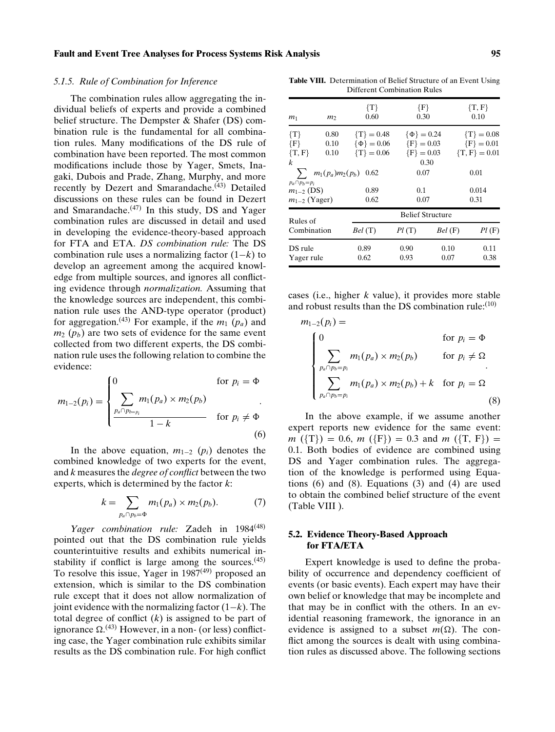#### *5.1.5. Rule of Combination for Inference*

The combination rules allow aggregating the individual beliefs of experts and provide a combined belief structure. The Dempster & Shafer (DS) combination rule is the fundamental for all combination rules. Many modifications of the DS rule of combination have been reported. The most common modifications include those by Yager, Smets, Inagaki, Dubois and Prade, Zhang, Murphy, and more recently by Dezert and Smarandache.<sup>(43)</sup> Detailed discussions on these rules can be found in Dezert and Smarandache. $(47)$  In this study, DS and Yager combination rules are discussed in detail and used in developing the evidence-theory-based approach for FTA and ETA. *DS combination rule:* The DS combination rule uses a normalizing factor (1−*k*) to develop an agreement among the acquired knowledge from multiple sources, and ignores all conflicting evidence through *normalization.* Assuming that the knowledge sources are independent, this combination rule uses the AND-type operator (product) for aggregation.<sup>(43)</sup> For example, if the  $m_1$ <sup>1</sup> $(p_a)$  and  $m_2$  ( $p_b$ ) are two sets of evidence for the same event collected from two different experts, the DS combination rule uses the following relation to combine the evidence:

$$
m_{1-2}(p_i) = \begin{cases} 0 & \text{for } p_i = \Phi \\ \sum_{\frac{p_a \cap p_{b=p_i}}{1-k}} m_1(p_a) \times m_2(p_b) & \text{for } p_i \neq \Phi \end{cases}
$$
 (6)

In the above equation,  $m_{1-2}$  ( $p_i$ ) denotes the combined knowledge of two experts for the event, and *k* measures the *degree of conflict* between the two experts, which is determined by the factor *k*:

$$
k=\sum_{p_a\cap p_b=\Phi}m_1(p_a)\times m_2(p_b). \hspace{1cm} (7)
$$

*Yager combination rule:* Zadeh in 1984(48) pointed out that the DS combination rule yields counterintuitive results and exhibits numerical instability if conflict is large among the sources.(45) To resolve this issue, Yager in  $1987^{(49)}$  proposed an extension, which is similar to the DS combination rule except that it does not allow normalization of joint evidence with the normalizing factor (1−*k*). The total degree of conflict  $(k)$  is assigned to be part of ignorance  $\Omega$ .<sup>(43)</sup> However, in a non- (or less) conflicting case, the Yager combination rule exhibits similar results as the DS combination rule. For high conflict

**Table VIII.** Determination of Belief Structure of an Event Using Different Combination Rules

| m <sub>1</sub><br>m <sub>2</sub>                                                              |  | $\{T\}$<br>0.60                                               | $\{F\}$<br>0.30                                               |              | $\{T, F\}$<br>0.10                                          |  |
|-----------------------------------------------------------------------------------------------|--|---------------------------------------------------------------|---------------------------------------------------------------|--------------|-------------------------------------------------------------|--|
| $\{T\}$<br>0.80<br>$\{F\}$<br>0.10<br>$\{T, F\}$<br>0.10<br>k<br>$\sum$<br>$m_1(p_a)m_2(p_b)$ |  | $\{T\} = 0.48$<br>$\{\Phi\} = 0.06$<br>$\{T\} = 0.06$<br>0.62 | $\{\Phi\} = 0.24$<br>$\{F\} = 0.03$<br>$\{F\} = 0.03$<br>0.07 | 0.30         | $\{T\} = 0.08$<br>$\{F\} = 0.01$<br>${T, F} = 0.01$<br>0.01 |  |
| $p_a \cap p_b = p_i$<br>$m_{1-2}$ (DS)<br>$m_{1-2}$ (Yager)                                   |  | 0.89<br>0.62                                                  | 0.1<br>0.07                                                   |              | 0.014<br>0.31                                               |  |
| Rules of                                                                                      |  |                                                               | <b>Belief Structure</b>                                       |              |                                                             |  |
| Combination                                                                                   |  | Bel(T)                                                        | Pl(T)<br>Bel(F)                                               |              | Pl(F)                                                       |  |
| DS rule<br>Yager rule                                                                         |  | 0.89<br>0.62                                                  | 0.90<br>0.93                                                  | 0.10<br>0.07 | 0.11<br>0.38                                                |  |

cases (i.e., higher *k* value), it provides more stable and robust results than the DS combination rule: $(10)$ 

$$
m_{1-2}(p_i) = \n\begin{cases} \n0 & \text{for } p_i = \Phi \\ \n\sum_{p_a \cap p_b = p_i} m_1(p_a) \times m_2(p_b) & \text{for } p_i \neq \Omega \\ \n\sum_{p_a \cap p_b = p_i} m_1(p_a) \times m_2(p_b) + k & \text{for } p_i = \Omega \n\end{cases} \tag{8}
$$

In the above example, if we assume another expert reports new evidence for the same event:  $m(\lbrace T \rbrace) = 0.6$ ,  $m(\lbrace F \rbrace) = 0.3$  and  $m(\lbrace T, F \rbrace) =$ 0.1. Both bodies of evidence are combined using DS and Yager combination rules. The aggregation of the knowledge is performed using Equations  $(6)$  and  $(8)$ . Equations  $(3)$  and  $(4)$  are used to obtain the combined belief structure of the event (Table VIII ).

# **5.2. Evidence Theory-Based Approach for FTA/ETA**

Expert knowledge is used to define the probability of occurrence and dependency coefficient of events (or basic events). Each expert may have their own belief or knowledge that may be incomplete and that may be in conflict with the others. In an evidential reasoning framework, the ignorance in an evidence is assigned to a subset  $m(\Omega)$ . The conflict among the sources is dealt with using combination rules as discussed above. The following sections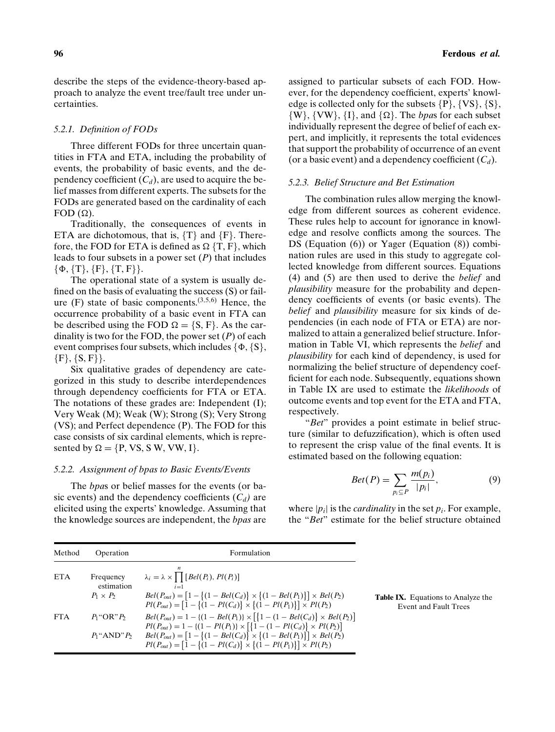describe the steps of the evidence-theory-based approach to analyze the event tree/fault tree under uncertainties.

#### *5.2.1. Definition of FODs*

Three different FODs for three uncertain quantities in FTA and ETA, including the probability of events, the probability of basic events, and the dependency coefficient  $(C_d)$ , are used to acquire the belief masses from different experts. The subsets for the FODs are generated based on the cardinality of each FOD  $(\Omega)$ .

Traditionally, the consequences of events in ETA are dichotomous, that is,  $\{T\}$  and  $\{F\}$ . Therefore, the FOD for ETA is defined as  $\Omega$  {T, F}, which leads to four subsets in a power set (*P*) that includes  $\{\Phi, \{T\}, \{F\}, \{T, F\}\}.$ 

The operational state of a system is usually defined on the basis of evaluating the success (S) or failure  $(F)$  state of basic components.<sup> $(3,5,6)$ </sup> Hence, the occurrence probability of a basic event in FTA can be described using the FOD  $\Omega = \{S, F\}$ . As the cardinality is two for the FOD, the power set (*P*) of each event comprises four subsets, which includes  $\{\Phi, \{S\},\}$  ${F}, {S, F}.$ 

Six qualitative grades of dependency are categorized in this study to describe interdependences through dependency coefficients for FTA or ETA. The notations of these grades are: Independent (I); Very Weak (M); Weak (W); Strong (S); Very Strong (VS); and Perfect dependence (P). The FOD for this case consists of six cardinal elements, which is represented by  $\Omega = \{P, VS, S, W, VW, I\}.$ 

## *5.2.2. Assignment of bpas to Basic Events/Events*

The *bpa*s or belief masses for the events (or basic events) and the dependency coefficients  $(C_d)$  are elicited using the experts' knowledge. Assuming that the knowledge sources are independent, the *bpas* are assigned to particular subsets of each FOD. However, for the dependency coefficient, experts' knowledge is collected only for the subsets  $\{P\}, \{VS\}, \{S\},\$  $\{W\}, \{VW\}, \{I\}, \text{and } \{\Omega\}.$  The *bpas* for each subset individually represent the degree of belief of each expert, and implicitly, it represents the total evidences that support the probability of occurrence of an event (or a basic event) and a dependency coefficient  $(C_d)$ .

#### *5.2.3. Belief Structure and Bet Estimation*

The combination rules allow merging the knowledge from different sources as coherent evidence. These rules help to account for ignorance in knowledge and resolve conflicts among the sources. The DS (Equation (6)) or Yager (Equation (8)) combination rules are used in this study to aggregate collected knowledge from different sources. Equations (4) and (5) are then used to derive the *belief* and *plausibility* measure for the probability and dependency coefficients of events (or basic events). The *belief* and *plausibility* measure for six kinds of dependencies (in each node of FTA or ETA) are normalized to attain a generalized belief structure. Information in Table VI, which represents the *belief* and *plausibility* for each kind of dependency, is used for normalizing the belief structure of dependency coefficient for each node. Subsequently, equations shown in Table IX are used to estimate the *likelihoods* of outcome events and top event for the ETA and FTA, respectively.

"*Bet*" provides a point estimate in belief structure (similar to defuzzification), which is often used to represent the crisp value of the final events. It is estimated based on the following equation:

$$
Bet(P) = \sum_{p_i \subseteq P} \frac{m(p_i)}{|p_i|},\tag{9}
$$

where  $|p_i|$  is the *cardinality* in the set  $p_i$ . For example, the "*Bet*" estimate for the belief structure obtained

| Method     | Operation                                   | Formulation                                                                                                                                                                                                                                                                                                                                                                                          |                                                                           |
|------------|---------------------------------------------|------------------------------------------------------------------------------------------------------------------------------------------------------------------------------------------------------------------------------------------------------------------------------------------------------------------------------------------------------------------------------------------------------|---------------------------------------------------------------------------|
| <b>ETA</b> | Frequency<br>estimation<br>$P_1 \times P_2$ | $\lambda_i = \lambda \times \prod [Bel(P_i), Pl(P_i)]$<br>$i=1$<br>$Bel(P_{out}) = [1 - \{(1 - Bel(C_d)\} \times \{(1 - Bel(P_1)\} \times Bel(P_2))$<br>$Pl(P_{out}) = \left[1 - \{(1 - Pl(C_d)\} \times \{(1 - Pl(P_1)\} \times Pl(P_2)\right]$                                                                                                                                                     | <b>Table IX.</b> Equations to Analyze the<br><b>Event and Fault Trees</b> |
| <b>FTA</b> | $P_1$ "OR" $P_2$<br>$P_1$ "AND" $P_2$       | $Bel(P_{out}) = 1 - \{(1 - Bel(P_1)\} \times \left[ \{1 - (1 - Bel(C_d)\} \times Bel(P_2)\right]$<br>$Pl(P_{out}) = 1 - \{(1 - Pl(P_1)\} \times \left[\left\{1 - (1 - Pl(C_d)\right\} \times Pl(P_2)\right]\right)$<br>$Bel(P_{out}) = [1 - \{(1 - Bel(C_d)\}\times \{(1 - Bel(P_1)\}\times Bel(P_2)\)]$<br>$Pl(P_{out}) = \left[1 - \{(1 - Pl(C_d)\} \times \{(1 - Pl(P_1)\} \times Pl(P_2)\right]$ |                                                                           |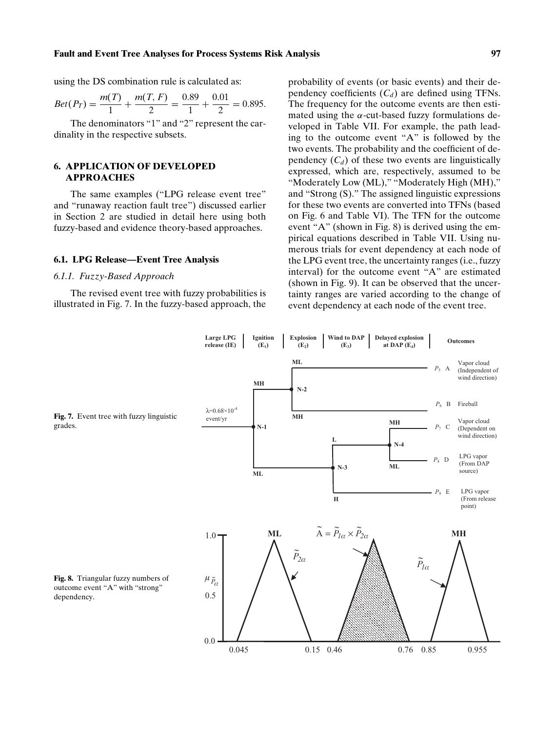## **Fault and Event Tree Analyses for Process Systems Risk Analysis 97**

using the DS combination rule is calculated as:

$$
Bet(P_T) = \frac{m(T)}{1} + \frac{m(T, F)}{2} = \frac{0.89}{1} + \frac{0.01}{2} = 0.895.
$$

The denominators "1" and "2" represent the cardinality in the respective subsets.

# **6. APPLICATION OF DEVELOPED APPROACHES**

The same examples ("LPG release event tree" and "runaway reaction fault tree") discussed earlier in Section 2 are studied in detail here using both fuzzy-based and evidence theory-based approaches.

#### **6.1. LPG Release—Event Tree Analysis**

## *6.1.1. Fuzzy-Based Approach*

The revised event tree with fuzzy probabilities is illustrated in Fig. 7. In the fuzzy-based approach, the

probability of events (or basic events) and their dependency coefficients  $(C_d)$  are defined using TFNs. The frequency for the outcome events are then estimated using the α*-*cut-based fuzzy formulations developed in Table VII. For example, the path leading to the outcome event "A" is followed by the two events. The probability and the coefficient of dependency  $(C_d)$  of these two events are linguistically expressed, which are, respectively, assumed to be "Moderately Low (ML)," "Moderately High (MH)," and "Strong (S)." The assigned linguistic expressions for these two events are converted into TFNs (based on Fig. 6 and Table VI). The TFN for the outcome event "A" (shown in Fig. 8) is derived using the empirical equations described in Table VII. Using numerous trials for event dependency at each node of the LPG event tree, the uncertainty ranges (i.e., fuzzy interval) for the outcome event "A" are estimated (shown in Fig. 9). It can be observed that the uncertainty ranges are varied according to the change of event dependency at each node of the event tree.

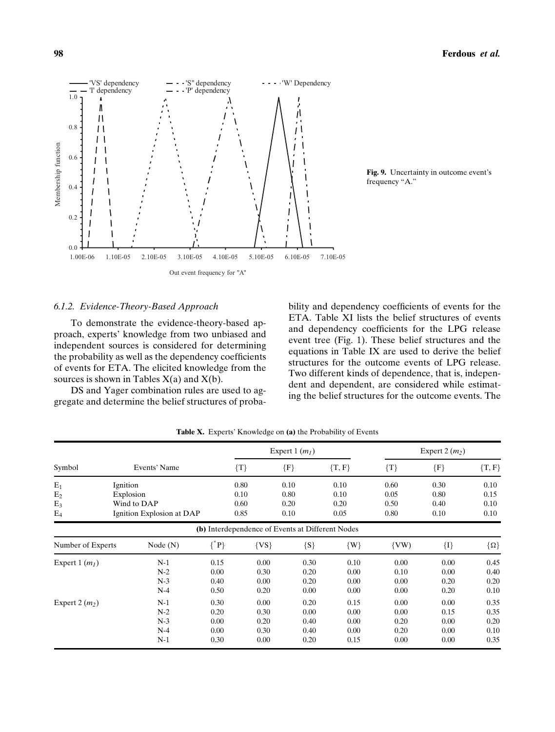

**Fig. 9.** Uncertainty in outcome event's frequency "A."

## *6.1.2. Evidence-Theory-Based Approach*

To demonstrate the evidence-theory-based approach, experts' knowledge from two unbiased and independent sources is considered for determining the probability as well as the dependency coefficients of events for ETA. The elicited knowledge from the sources is shown in Tables  $X(a)$  and  $X(b)$ .

DS and Yager combination rules are used to aggregate and determine the belief structures of probability and dependency coefficients of events for the ETA. Table XI lists the belief structures of events and dependency coefficients for the LPG release event tree (Fig. 1). These belief structures and the equations in Table IX are used to derive the belief structures for the outcome events of LPG release. Two different kinds of dependence, that is, independent and dependent, are considered while estimating the belief structures for the outcome events. The

|                                                    |                                                                   |                                      | Expert $1(m_1)$                                              |                                      |                                      | Expert 2 $(m_2)$                     |                                      |                                      |
|----------------------------------------------------|-------------------------------------------------------------------|--------------------------------------|--------------------------------------------------------------|--------------------------------------|--------------------------------------|--------------------------------------|--------------------------------------|--------------------------------------|
| Symbol                                             | Events' Name                                                      |                                      | $\{T\}$                                                      | ${F}$                                | $\{T, F\}$                           | $\{T\}$                              | ${F}$                                | $\{T, F\}$                           |
| $E_1$<br>E <sub>2</sub><br>E <sub>3</sub><br>$E_4$ | Ignition<br>Explosion<br>Wind to DAP<br>Ignition Explosion at DAP |                                      | 0.80<br>0.10<br>0.10<br>0.80<br>0.20<br>0.60<br>0.85<br>0.10 |                                      | 0.10<br>0.10<br>0.20<br>0.05         | 0.60<br>0.05<br>0.50<br>0.80         | 0.30<br>0.80<br>0.40<br>0.10         | 0.10<br>0.15<br>0.10<br>0.10         |
|                                                    |                                                                   |                                      | (b) Interdependence of Events at Different Nodes             |                                      |                                      |                                      |                                      |                                      |
| Number of Experts                                  | Node $(N)$                                                        | ${^{*}P}$                            | $\{VS\}$                                                     | $\{S\}$                              | $\{W\}$                              | $\{VW\}$                             | $\{I\}$                              | $\{\Omega\}$                         |
| Expert $1(m1)$                                     | $N-1$<br>$N-2$<br>$N-3$<br>$N-4$                                  | 0.15<br>0.00<br>0.40<br>0.50         | 0.00<br>0.30<br>0.00<br>0.20                                 | 0.30<br>0.20<br>0.20<br>0.00         | 0.10<br>0.00<br>0.00<br>0.00         | 0.00<br>0.10<br>0.00<br>0.00         | 0.00<br>0.00<br>0.20<br>0.20         | 0.45<br>0.40<br>0.20<br>0.10         |
| Expert $2(m_2)$                                    | $N-1$<br>$N-2$<br>$N-3$<br>$N-4$<br>$N-1$                         | 0.30<br>0.20<br>0.00<br>0.00<br>0.30 | 0.00<br>0.30<br>0.20<br>0.30<br>0.00                         | 0.20<br>0.00<br>0.40<br>0.40<br>0.20 | 0.15<br>0.00<br>0.00<br>0.00<br>0.15 | 0.00<br>0.00<br>0.20<br>0.20<br>0.00 | 0.00<br>0.15<br>0.00<br>0.00<br>0.00 | 0.35<br>0.35<br>0.20<br>0.10<br>0.35 |

**Table X.** Experts' Knowledge on **(a)** the Probability of Events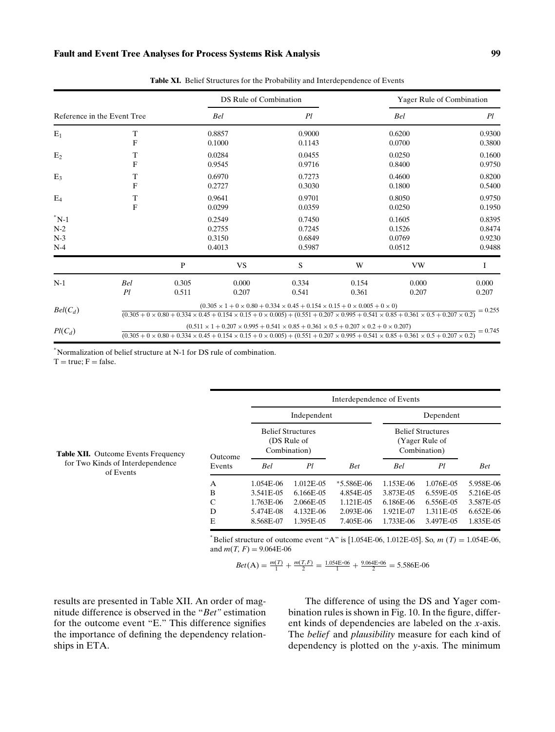|                |                             |                                                                                                                                                                                          | DS Rule of Combination |                                                                                                                    |        | Yager Rule of Combination                                                                                                                                                   |           |  |  |
|----------------|-----------------------------|------------------------------------------------------------------------------------------------------------------------------------------------------------------------------------------|------------------------|--------------------------------------------------------------------------------------------------------------------|--------|-----------------------------------------------------------------------------------------------------------------------------------------------------------------------------|-----------|--|--|
|                | Reference in the Event Tree |                                                                                                                                                                                          | Bel                    | Pl                                                                                                                 |        | Bel                                                                                                                                                                         | Pl        |  |  |
| $E_1$          | T                           | 0.8857<br>0.9000                                                                                                                                                                         |                        |                                                                                                                    |        | 0.6200                                                                                                                                                                      | 0.9300    |  |  |
|                | F                           |                                                                                                                                                                                          | 0.1000                 | 0.1143                                                                                                             |        | 0.0700                                                                                                                                                                      | 0.3800    |  |  |
| E <sub>2</sub> | T                           |                                                                                                                                                                                          | 0.0284                 | 0.0455                                                                                                             |        | 0.0250                                                                                                                                                                      | 0.1600    |  |  |
|                | F                           |                                                                                                                                                                                          | 0.9545                 | 0.9716                                                                                                             |        | 0.8400                                                                                                                                                                      | 0.9750    |  |  |
| T<br>$E_3$     |                             |                                                                                                                                                                                          | 0.6970                 | 0.7273                                                                                                             |        | 0.4600                                                                                                                                                                      | 0.8200    |  |  |
|                | F                           |                                                                                                                                                                                          | 0.2727                 | 0.3030                                                                                                             | 0.1800 |                                                                                                                                                                             | 0.5400    |  |  |
| T<br>$E_4$     |                             |                                                                                                                                                                                          | 0.9641                 |                                                                                                                    | 0.8050 |                                                                                                                                                                             | 0.9750    |  |  |
|                | $\mathbf{F}$                |                                                                                                                                                                                          | 0.0299                 | 0.0359                                                                                                             | 0.0250 |                                                                                                                                                                             | 0.1950    |  |  |
| $^{\ast}$ N-1  |                             |                                                                                                                                                                                          | 0.2549                 | 0.7450                                                                                                             | 0.1605 |                                                                                                                                                                             | 0.8395    |  |  |
| $N-2$          |                             |                                                                                                                                                                                          | 0.2755                 | 0.7245                                                                                                             | 0.1526 |                                                                                                                                                                             | 0.8474    |  |  |
| $N-3$          |                             |                                                                                                                                                                                          | 0.3150                 | 0.6849                                                                                                             |        | 0.0769                                                                                                                                                                      | 0.9230    |  |  |
| $N-4$          |                             |                                                                                                                                                                                          | 0.4013                 | 0.5987                                                                                                             |        | 0.0512                                                                                                                                                                      | 0.9488    |  |  |
|                |                             | P                                                                                                                                                                                        | <b>VS</b>              | S                                                                                                                  | W      | <b>VW</b>                                                                                                                                                                   | I         |  |  |
| $N-1$          | Bel                         | 0.305                                                                                                                                                                                    | 0.000                  | 0.334                                                                                                              | 0.154  | 0.000                                                                                                                                                                       | 0.000     |  |  |
|                | Pl                          | 0.511                                                                                                                                                                                    | 0.207                  | 0.541                                                                                                              | 0.361  | 0.207                                                                                                                                                                       | 0.207     |  |  |
|                |                             | $(0.305 \times 1 + 0 \times 0.80 + 0.334 \times 0.45 + 0.154 \times 0.15 + 0 \times 0.005 + 0 \times 0)$                                                                                 |                        |                                                                                                                    |        |                                                                                                                                                                             |           |  |  |
| $Bel(C_d)$     |                             | $= 0.255$<br>$(0.305 + 0 \times 0.80 + 0.334 \times 0.45 + 0.154 \times 0.15 + 0 \times 0.005) + (0.551 + 0.207 \times 0.995 + 0.541 \times 0.85 + 0.361 \times 0.5 + 0.207 \times 0.2)$ |                        |                                                                                                                    |        |                                                                                                                                                                             |           |  |  |
| $Pl(C_d)$      |                             |                                                                                                                                                                                          |                        | $(0.511 \times 1 + 0.207 \times 0.995 + 0.541 \times 0.85 + 0.361 \times 0.5 + 0.207 \times 0.2 + 0 \times 0.207)$ |        |                                                                                                                                                                             | $= 0.745$ |  |  |
|                |                             |                                                                                                                                                                                          |                        |                                                                                                                    |        | $(0.305 + 0 \times 0.80 + 0.334 \times 0.45 + 0.154 \times 0.15 + 0 \times 0.005) + (0.551 + 0.207 \times 0.995 + 0.541 \times 0.85 + 0.361 \times 0.5 + 0.207 \times 0.2)$ |           |  |  |

**Table XI.** Belief Structures for the Probability and Interdependence of Events

∗ Normalization of belief structure at N-1 for DS rule of combination.

 $T = true; F = false.$ 

|                                               |              | Interdependence of Events |                                                         |              |                                                            |           |            |  |  |
|-----------------------------------------------|--------------|---------------------------|---------------------------------------------------------|--------------|------------------------------------------------------------|-----------|------------|--|--|
| <b>Table XII.</b> Outcome Events Frequency    | Outcome      |                           | Independent                                             |              | Dependent                                                  |           |            |  |  |
|                                               |              |                           | <b>Belief Structures</b><br>(DS Rule of<br>Combination) |              | <b>Belief Structures</b><br>(Yager Rule of<br>Combination) |           |            |  |  |
| for Two Kinds of Interdependence<br>of Events | Events       | Bel                       | Pl                                                      | <b>Bet</b>   | Bel                                                        | Pl        | <b>Bet</b> |  |  |
|                                               | A            | 1.054E-06                 | 1.012E-05                                               | $*5.586E-06$ | 1.153E-06                                                  | 1.076E-05 | 5.958E-06  |  |  |
|                                               | B            | 3.541E-05                 | 6.166E-05                                               | 4.854E-05    | 3.873E-05                                                  | 6.559E-05 | 5.216E-05  |  |  |
|                                               | $\mathsf{C}$ | 1.763E-06                 | 2.066E-05                                               | 1.121E-05    | 6.186E-06                                                  | 6.556E-05 | 3.587E-05  |  |  |
|                                               | D            | 5.474E-08                 | 4.132E-06                                               | 2.093E-06    | 1.921E-07                                                  | 1.311E-05 | 6.652E-06  |  |  |
|                                               | E            | 8.568E-07                 | 1.395E-05                                               | 7.405E-06    | 1.733E-06                                                  | 3.497E-05 | 1.835E-05  |  |  |

∗ Belief structure of outcome event "A" is [1.054E-06, 1.012E-05]. So*, m* (*T)* = 1.054E-06, and  $m(T, F) = 9.064E-06$ 

 $\text{Bet}(A) = \frac{m(T)}{1} + \frac{m(T, F)}{2} = \frac{1.054E - 06}{1} + \frac{9.064E - 06}{2} = 5.586E - 06$ 

results are presented in Table XII. An order of magnitude difference is observed in the "*Bet"* estimation for the outcome event "E." This difference signifies the importance of defining the dependency relationships in ETA.

The difference of using the DS and Yager combination rules is shown in Fig. 10. In the figure, different kinds of dependencies are labeled on the *x*-axis. The *belief* and *plausibility* measure for each kind of dependency is plotted on the *y*-axis. The minimum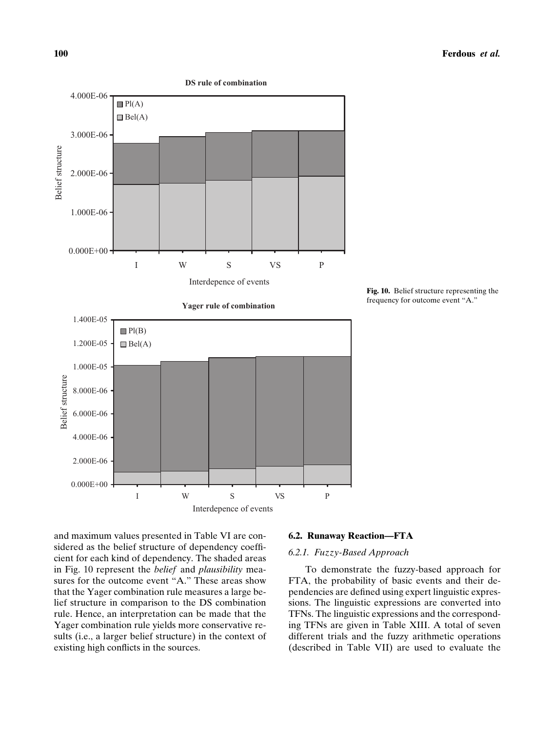

**Fig. 10.** Belief structure representing the frequency for outcome event "A."

and maximum values presented in Table VI are considered as the belief structure of dependency coefficient for each kind of dependency. The shaded areas in Fig. 10 represent the *belief* and *plausibility* measures for the outcome event "A." These areas show that the Yager combination rule measures a large belief structure in comparison to the DS combination rule. Hence, an interpretation can be made that the Yager combination rule yields more conservative results (i.e., a larger belief structure) in the context of existing high conflicts in the sources.

## **6.2. Runaway Reaction—FTA**

## *6.2.1. Fuzzy-Based Approach*

To demonstrate the fuzzy-based approach for FTA, the probability of basic events and their dependencies are defined using expert linguistic expressions. The linguistic expressions are converted into TFNs. The linguistic expressions and the corresponding TFNs are given in Table XIII. A total of seven different trials and the fuzzy arithmetic operations (described in Table VII) are used to evaluate the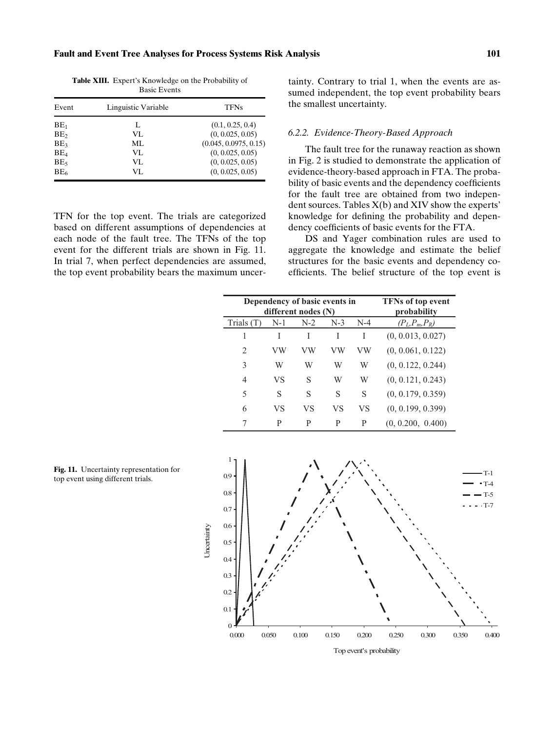## **Fault and Event Tree Analyses for Process Systems Risk Analysis 101**

**Table XIII.** Expert's Knowledge on the Probability of Basic Events

| Event           | Linguistic Variable | <b>TFNs</b>           |
|-----------------|---------------------|-----------------------|
| BE <sub>1</sub> | L                   | (0.1, 0.25, 0.4)      |
| BE <sub>2</sub> | VL                  | (0, 0.025, 0.05)      |
| BE <sub>3</sub> | ML                  | (0.045, 0.0975, 0.15) |
| BE <sub>4</sub> | VL                  | (0, 0.025, 0.05)      |
| BE <sub>5</sub> | VL                  | (0, 0.025, 0.05)      |
| BE <sub>6</sub> | VL                  | (0, 0.025, 0.05)      |

TFN for the top event. The trials are categorized based on different assumptions of dependencies at each node of the fault tree. The TFNs of the top event for the different trials are shown in Fig. 11. In trial 7, when perfect dependencies are assumed, the top event probability bears the maximum uncertainty. Contrary to trial 1, when the events are assumed independent, the top event probability bears the smallest uncertainty.

# *6.2.2. Evidence-Theory-Based Approach*

The fault tree for the runaway reaction as shown in Fig. 2 is studied to demonstrate the application of evidence-theory-based approach in FTA. The probability of basic events and the dependency coefficients for the fault tree are obtained from two independent sources. Tables X(b) and XIV show the experts' knowledge for defining the probability and dependency coefficients of basic events for the FTA.

DS and Yager combination rules are used to aggregate the knowledge and estimate the belief structures for the basic events and dependency coefficients. The belief structure of the top event is

|                               | Dependency of basic events in<br>different nodes (N) | <b>TFNs of top event</b><br>probability |       |       |                   |
|-------------------------------|------------------------------------------------------|-----------------------------------------|-------|-------|-------------------|
| Trials $(T)$                  | N-1                                                  | $N-2$                                   | $N-3$ | $N-4$ | $(P_L, P_m, P_R)$ |
| 1                             |                                                      |                                         |       | T     | (0, 0.013, 0.027) |
| $\mathfrak{D}_{\mathfrak{p}}$ | VW                                                   | VW                                      | VW    | VW    | (0, 0.061, 0.122) |
| 3                             | W                                                    | W                                       | W     | W     | (0, 0.122, 0.244) |
| 4                             | VS                                                   | S                                       | W     | W     | (0, 0.121, 0.243) |
| 5                             | S                                                    | S                                       | S     | S     | (0, 0.179, 0.359) |
| 6                             | VS                                                   | VS                                      | VS    | VS    | (0, 0.199, 0.399) |
| 7                             | P                                                    | P                                       | P     | P     | (0, 0.200, 0.400) |



**Fig. 11.** Uncertainty representation for top event using different trials.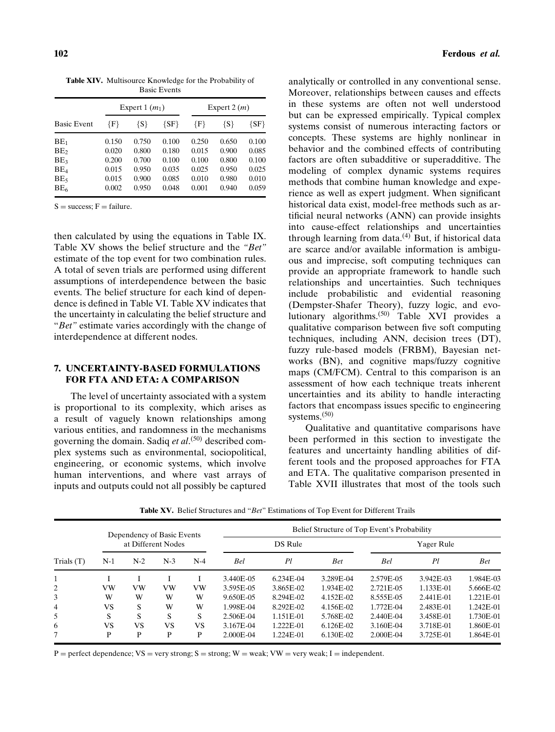**Table XIV.** Multisource Knowledge for the Probability of Basic Events

|                    |         | Expert $1(m_1)$ |          |         | Expert $2(m)$ |          |  |  |
|--------------------|---------|-----------------|----------|---------|---------------|----------|--|--|
| <b>Basic Event</b> | $\{F\}$ | $\{S\}$         | $\{SF\}$ | $\{F\}$ | $\{S\}$       | $\{SF\}$ |  |  |
| BE <sub>1</sub>    | 0.150   | 0.750           | 0.100    | 0.250   | 0.650         | 0.100    |  |  |
| BE <sub>2</sub>    | 0.020   | 0.800           | 0.180    | 0.015   | 0.900         | 0.085    |  |  |
| BE <sub>3</sub>    | 0.200   | 0.700           | 0.100    | 0.100   | 0.800         | 0.100    |  |  |
| BE <sub>4</sub>    | 0.015   | 0.950           | 0.035    | 0.025   | 0.950         | 0.025    |  |  |
| BE <sub>5</sub>    | 0.015   | 0.900           | 0.085    | 0.010   | 0.980         | 0.010    |  |  |
| BE <sub>6</sub>    | 0.002   | 0.950           | 0.048    | 0.001   | 0.940         | 0.059    |  |  |

 $S = success$ :  $F = failure$ .

then calculated by using the equations in Table IX. Table XV shows the belief structure and the *"Bet"* estimate of the top event for two combination rules. A total of seven trials are performed using different assumptions of interdependence between the basic events. The belief structure for each kind of dependence is defined in Table VI. Table XV indicates that the uncertainty in calculating the belief structure and "*Bet"* estimate varies accordingly with the change of interdependence at different nodes.

# **7. UNCERTAINTY-BASED FORMULATIONS FOR FTA AND ETA: A COMPARISON**

The level of uncertainty associated with a system is proportional to its complexity, which arises as a result of vaguely known relationships among various entities, and randomness in the mechanisms governing the domain. Sadiq *et al*.<sup>(50)</sup> described complex systems such as environmental, sociopolitical, engineering, or economic systems, which involve human interventions, and where vast arrays of inputs and outputs could not all possibly be captured

analytically or controlled in any conventional sense. Moreover, relationships between causes and effects in these systems are often not well understood but can be expressed empirically. Typical complex systems consist of numerous interacting factors or concepts. These systems are highly nonlinear in behavior and the combined effects of contributing factors are often subadditive or superadditive. The modeling of complex dynamic systems requires methods that combine human knowledge and experience as well as expert judgment. When significant historical data exist, model-free methods such as artificial neural networks (ANN) can provide insights into cause-effect relationships and uncertainties through learning from data. $^{(4)}$  But, if historical data are scarce and/or available information is ambiguous and imprecise, soft computing techniques can provide an appropriate framework to handle such relationships and uncertainties. Such techniques include probabilistic and evidential reasoning (Dempster-Shafer Theory), fuzzy logic, and evolutionary algorithms.(50) Table XVI provides a qualitative comparison between five soft computing techniques, including ANN, decision trees (DT), fuzzy rule-based models (FRBM), Bayesian networks (BN), and cognitive maps/fuzzy cognitive maps (CM/FCM). Central to this comparison is an assessment of how each technique treats inherent uncertainties and its ability to handle interacting factors that encompass issues specific to engineering systems. $(50)$ 

Qualitative and quantitative comparisons have been performed in this section to investigate the features and uncertainty handling abilities of different tools and the proposed approaches for FTA and ETA. The qualitative comparison presented in Table XVII illustrates that most of the tools such

|                |                                                  |           |       |       | Belief Structure of Top Event's Probability |             |             |            |            |            |  |
|----------------|--------------------------------------------------|-----------|-------|-------|---------------------------------------------|-------------|-------------|------------|------------|------------|--|
|                | Dependency of Basic Events<br>at Different Nodes |           |       |       | DS Rule                                     |             |             | Yager Rule |            |            |  |
| Trials $(T)$   | $N-1$                                            | $N-2$     | $N-3$ | $N-4$ | Bel                                         | Pl          | <b>Bet</b>  | Bel        | Pl         | <b>Bet</b> |  |
| 1              |                                                  |           |       |       | 3.440E-05                                   | $6.234E-04$ | 3.289E-04   | 2.579E-05  | 3.942E-03  | 1.984E-03  |  |
| 2              | VW                                               | VW        | VW    | VW    | 3.595E-05                                   | 3.865E-02   | 1.934E-02   | 2.721E-05  | 1.133E-01  | 5.666E-02  |  |
| 3              | W                                                | W         | W     | W     | 9.650E-05                                   | 8.294E-02   | 4.152E-02   | 8.555E-05  | 2.441 E-01 | 1.221E-01  |  |
| $\overline{4}$ | <b>VS</b>                                        | S         | W     | W     | 1.998E-04                                   | 8.292E-02   | 4.156E-02   | 1.772E-04  | 2.483E-01  | 1.242E-01  |  |
| 5              | S                                                | S         | S     | S     | 2.506E-04                                   | 1.151E-01   | 5.768E-02   | 2.440E-04  | 3.458E-01  | 1.730E-01  |  |
| 6              | VS                                               | <b>VS</b> | VS    | VS    | 3.167E-04                                   | 1.222E-01   | $6.126E-02$ | 3.160E-04  | 3.718E-01  | 1.860E-01  |  |
|                | P                                                | P         | P     | P     | 2.000E-04                                   | 1.224E-01   | $6.130E-02$ | 2.000E-04  | 3.725E-01  | 1.864E-01  |  |

**Table XV.** Belief Structures and "*Bet*" Estimations of Top Event for Different Trails

 $P =$  perfect dependence;  $VS =$  very strong;  $S =$  strong;  $W =$  weak;  $VW =$  very weak;  $I =$  independent.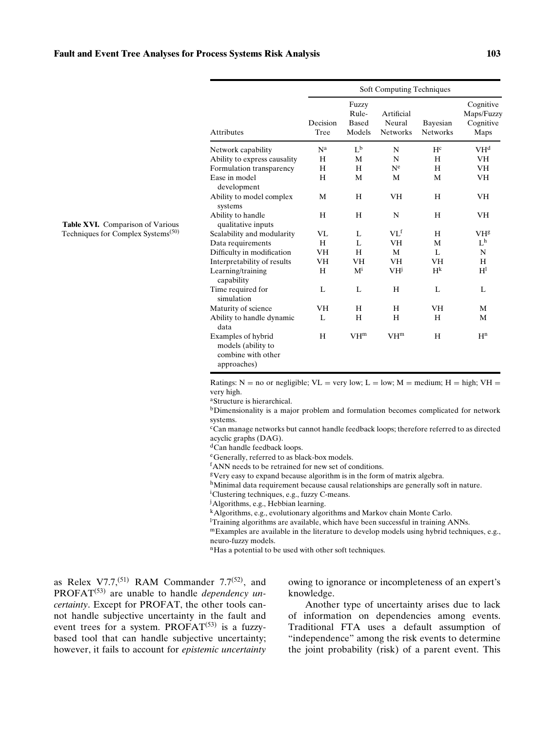|                                                                               |                  | Soft Computing Techniques                |                                         |                             |                                              |  |  |  |
|-------------------------------------------------------------------------------|------------------|------------------------------------------|-----------------------------------------|-----------------------------|----------------------------------------------|--|--|--|
| Attributes                                                                    | Decision<br>Tree | Fuzzy<br>Rule-<br><b>Based</b><br>Models | Artificial<br>Neural<br><b>Networks</b> | Bayesian<br><b>Networks</b> | Cognitive<br>Maps/Fuzzy<br>Cognitive<br>Maps |  |  |  |
| Network capability                                                            | $N^a$            | L <sub>p</sub>                           | N                                       | H <sup>c</sup>              | VH <sup>d</sup>                              |  |  |  |
| Ability to express causality                                                  | H                | M                                        | N                                       | H                           | VH.                                          |  |  |  |
| Formulation transparency                                                      | H                | H                                        | N <sup>e</sup>                          | H                           | VH                                           |  |  |  |
| Ease in model<br>development                                                  | H                | M                                        | M                                       | M                           | VH                                           |  |  |  |
| Ability to model complex<br>systems                                           | M                | H                                        | VH                                      | H                           | <b>VH</b>                                    |  |  |  |
| Ability to handle<br>qualitative inputs                                       | H                | H                                        | N                                       | H                           | <b>VH</b>                                    |  |  |  |
| Scalability and modularity                                                    | VL               | L                                        | VI <sub>f</sub>                         | H                           | <b>VH</b> <sup>g</sup>                       |  |  |  |
| Data requirements                                                             | H                | L                                        | <b>VH</b>                               | M                           | L <sup>h</sup>                               |  |  |  |
| Difficulty in modification                                                    | <b>VH</b>        | H                                        | M                                       | $\mathbf{L}$                | N                                            |  |  |  |
| Interpretability of results                                                   | VH               | <b>VH</b>                                | <b>VH</b>                               | VH                          | H                                            |  |  |  |
| Learning/training<br>capability                                               | H                | $M^{i}$                                  | VH                                      | H <sup>k</sup>              | $H^1$                                        |  |  |  |
| Time required for<br>simulation                                               | $\mathbf{L}$     | $\mathbf{L}$                             | H                                       | L                           | $\mathbf{L}$                                 |  |  |  |
| Maturity of science                                                           | VH               | H                                        | H                                       | VH                          | M                                            |  |  |  |
| Ability to handle dynamic<br>data                                             | L                | H                                        | H                                       | H                           | M                                            |  |  |  |
| Examples of hybrid<br>models (ability to<br>combine with other<br>approaches) | H                | VH <sup>m</sup>                          | $V$ H <sup>m</sup>                      | H                           | $H^n$                                        |  |  |  |

**Table XVI.** Comparison of Various Techniques for Complex Systems(50)

Ratings: N = no or negligible; VL = very low; L = low; M = medium; H = high; VH = very high.

aStructure is hierarchical.

bDimensionality is a major problem and formulation becomes complicated for network systems.

cCan manage networks but cannot handle feedback loops; therefore referred to as directed acyclic graphs (DAG).

<sup>d</sup>Can handle feedback loops.

eGenerally, referred to as black-box models.

f ANN needs to be retrained for new set of conditions.

gVery easy to expand because algorithm is in the form of matrix algebra.

hMinimal data requirement because causal relationships are generally soft in nature.

<sup>i</sup>Clustering techniques, e.g., fuzzy C-means.

<sup>j</sup>Algorithms, e.g., Hebbian learning.

kAlgorithms, e.g., evolutionary algorithms and Markov chain Monte Carlo.

<sup>1</sup>Training algorithms are available, which have been successful in training ANNs.

mExamples are available in the literature to develop models using hybrid techniques, e.g., neuro-fuzzy models.

<sup>n</sup>Has a potential to be used with other soft techniques.

as Relex V7.7,<sup>(51)</sup> RAM Commander 7.7<sup>(52)</sup>, and PROFAT<sup>(53)</sup> are unable to handle *dependency uncertainty*. Except for PROFAT, the other tools cannot handle subjective uncertainty in the fault and event trees for a system. PROFAT $^{(53)}$  is a fuzzybased tool that can handle subjective uncertainty; however, it fails to account for *epistemic uncertainty*

owing to ignorance or incompleteness of an expert's knowledge.

Another type of uncertainty arises due to lack of information on dependencies among events. Traditional FTA uses a default assumption of "independence" among the risk events to determine the joint probability (risk) of a parent event. This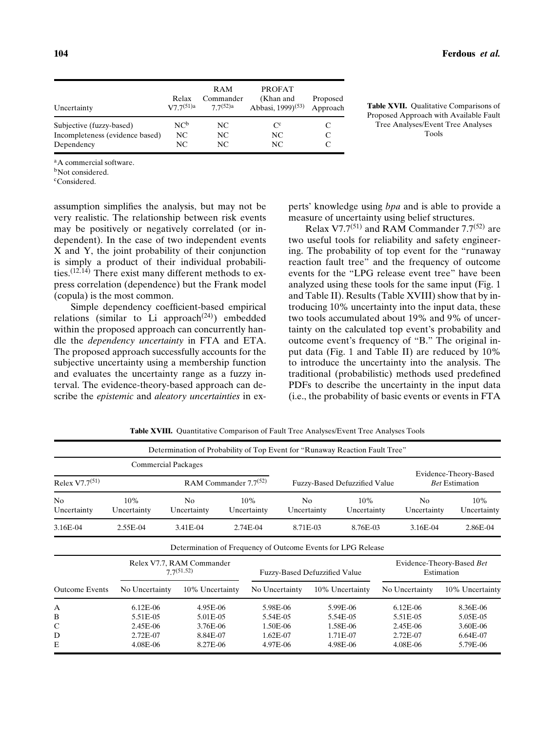| Uncertainty                     | Relax<br>$V77^{(51)a}$ | <b>RAM</b><br>Commander<br>$77^{(52)a}$ | <b>PROFAT</b><br>(Khan and<br>Abbasi, 1999) <sup>(53)</sup> | Proposed<br>Approach |
|---------------------------------|------------------------|-----------------------------------------|-------------------------------------------------------------|----------------------|
| Subjective (fuzzy-based)        | NC <sup>b</sup>        | NC                                      | $C^c$                                                       |                      |
| Incompleteness (evidence based) | NC                     | NC.                                     | NC.                                                         |                      |
| Dependency                      | NC                     | NC                                      | NC                                                          |                      |

**Table XVII.** Qualitative Comparisons of Proposed Approach with Available Fault Tree Analyses/Event Tree Analyses Tools

<sup>a</sup>A commercial software.

b<sub>Not</sub> considered.

<sup>c</sup>Considered.

assumption simplifies the analysis, but may not be very realistic. The relationship between risk events may be positively or negatively correlated (or independent). In the case of two independent events X and Y, the joint probability of their conjunction is simply a product of their individual probabilities.<sup> $(12,14)$ </sup> There exist many different methods to express correlation (dependence) but the Frank model (copula) is the most common.

Simple dependency coefficient-based empirical relations (similar to Li approach<sup>(24)</sup>) embedded within the proposed approach can concurrently handle the *dependency uncertainty* in FTA and ETA. The proposed approach successfully accounts for the subjective uncertainty using a membership function and evaluates the uncertainty range as a fuzzy interval. The evidence-theory-based approach can describe the *epistemic* and *aleatory uncertainties* in ex-

perts' knowledge using *bpa* and is able to provide a measure of uncertainty using belief structures.

Relax V7.7<sup>(51)</sup> and RAM Commander 7.7<sup>(52)</sup> are two useful tools for reliability and safety engineering. The probability of top event for the "runaway reaction fault tree" and the frequency of outcome events for the "LPG release event tree" have been analyzed using these tools for the same input (Fig. 1 and Table II). Results (Table XVIII) show that by introducing 10% uncertainty into the input data, these two tools accumulated about 19% and 9% of uncertainty on the calculated top event's probability and outcome event's frequency of "B." The original input data (Fig. 1 and Table II) are reduced by 10% to introduce the uncertainty into the analysis. The traditional (probabilistic) methods used predefined PDFs to describe the uncertainty in the input data (i.e., the probability of basic events or events in FTA

|                            |                                        | Determination of Probability of Top Event for "Runaway Reaction Fault Tree" |                    |                                      |  |                                  |          |                                         |                                  |
|----------------------------|----------------------------------------|-----------------------------------------------------------------------------|--------------------|--------------------------------------|--|----------------------------------|----------|-----------------------------------------|----------------------------------|
|                            | <b>Commercial Packages</b>             |                                                                             |                    |                                      |  |                                  |          |                                         | Evidence-Theory-Based            |
| Relex V7.7 <sup>(51)</sup> |                                        | RAM Commander $7.7^{(52)}$                                                  |                    |                                      |  | Fuzzy-Based Defuzzified Value    |          |                                         | <b>Bet Estimation</b>            |
| No<br>Uncertainty          | 10%<br>Uncertainty                     | No.<br>Uncertainty                                                          | 10%<br>Uncertainty | No.<br>Uncertainty                   |  | 10%<br>Uncertainty               |          | N <sub>0</sub><br>Uncertainty           | 10%<br>Uncertainty               |
| 3.16E-04                   | 2.55E-04                               | 3.41E-04                                                                    | 2.74E-04           | 8.71E-03                             |  | 8.76E-03                         | 3.16E-04 |                                         | 2.86E-04                         |
|                            |                                        | Determination of Frequency of Outcome Events for LPG Release                |                    |                                      |  |                                  |          |                                         |                                  |
|                            | Relex V7.7, RAM Commander<br>77(51,52) |                                                                             |                    | <b>Fuzzy-Based Defuzzified Value</b> |  |                                  |          | Evidence-Theory-Based Bet<br>Estimation |                                  |
| <b>Outcome Events</b>      | No Uncertainty                         | 10% Uncertainty                                                             |                    | No Uncertainty                       |  | 10% Uncertainty                  |          | No Uncertainty                          | 10% Uncertainty                  |
| A<br>B                     | $6.12E-06$<br>5.51E-05                 | 4.95E-06<br>5.01E-05                                                        |                    | 5.98E-06<br>5.54E-05                 |  | 5.99E-06<br>5.54E-05             |          | $6.12E - 06$<br>5.51E-05                | 8.36E-06<br>5.05E-05             |
| С<br>D<br>E                | 2.45E-06<br>2.72E-07<br>4.08E-06       | 3.76E-06<br>8.84E-07<br>8.27E-06                                            |                    | 1.50E-06<br>1.62E-07<br>4.97E-06     |  | 1.58E-06<br>1.71E-07<br>4.98E-06 |          | 2.45E-06<br>2.72E-07<br>4.08E-06        | 3.60E-06<br>6.64E-07<br>5.79E-06 |

**Table XVIII.** Quantitative Comparison of Fault Tree Analyses/Event Tree Analyses Tools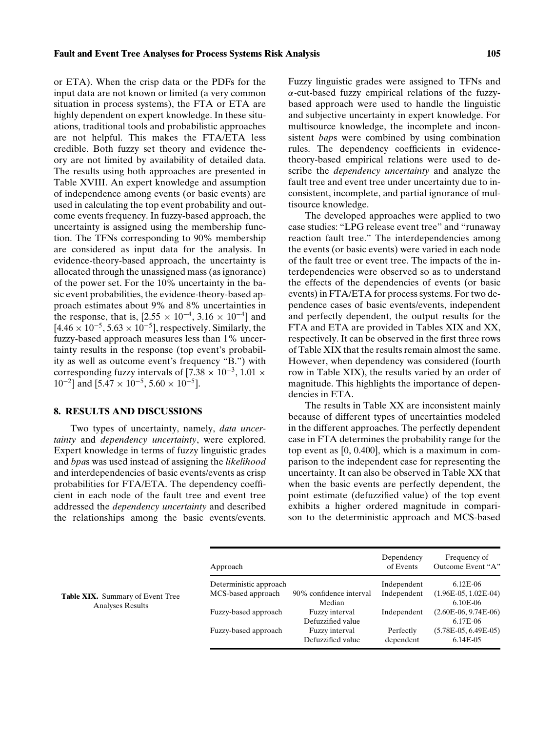or ETA). When the crisp data or the PDFs for the input data are not known or limited (a very common situation in process systems), the FTA or ETA are highly dependent on expert knowledge. In these situations, traditional tools and probabilistic approaches are not helpful. This makes the FTA/ETA less credible. Both fuzzy set theory and evidence theory are not limited by availability of detailed data. The results using both approaches are presented in Table XVIII. An expert knowledge and assumption of independence among events (or basic events) are used in calculating the top event probability and outcome events frequency. In fuzzy-based approach, the uncertainty is assigned using the membership function. The TFNs corresponding to 90% membership are considered as input data for the analysis. In evidence-theory-based approach, the uncertainty is allocated through the unassigned mass (as ignorance) of the power set. For the 10% uncertainty in the basic event probabilities, the evidence-theory-based approach estimates about 9% and 8% uncertainties in the response, that is,  $[2.55 \times 10^{-4}, 3.16 \times 10^{-4}]$  and  $[4.46 \times 10^{-5}, 5.63 \times 10^{-5}]$ , respectively. Similarly, the fuzzy-based approach measures less than 1% uncertainty results in the response (top event's probability as well as outcome event's frequency "B.") with corresponding fuzzy intervals of  $[7.38 \times 10^{-3}, 1.01 \times$  $10^{-2}$ ] and  $[5.47 \times 10^{-5}, 5.60 \times 10^{-5}]$ .

# **8. RESULTS AND DISCUSSIONS**

Two types of uncertainty, namely, *data uncertainty* and *dependency uncertainty*, were explored. Expert knowledge in terms of fuzzy linguistic grades and *bpa*s was used instead of assigning the *likelihood* and interdependencies of basic events/events as crisp probabilities for FTA/ETA. The dependency coefficient in each node of the fault tree and event tree addressed the *dependency uncertainty* and described the relationships among the basic events/events.

Fuzzy linguistic grades were assigned to TFNs and α*-*cut-based fuzzy empirical relations of the fuzzybased approach were used to handle the linguistic and subjective uncertainty in expert knowledge. For multisource knowledge, the incomplete and inconsistent *bap*s were combined by using combination rules. The dependency coefficients in evidencetheory-based empirical relations were used to describe the *dependency uncertainty* and analyze the fault tree and event tree under uncertainty due to inconsistent, incomplete, and partial ignorance of multisource knowledge.

The developed approaches were applied to two case studies: "LPG release event tree" and "runaway reaction fault tree." The interdependencies among the events (or basic events) were varied in each node of the fault tree or event tree. The impacts of the interdependencies were observed so as to understand the effects of the dependencies of events (or basic events) in FTA/ETA for process systems. For two dependence cases of basic events/events, independent and perfectly dependent, the output results for the FTA and ETA are provided in Tables XIX and XX, respectively. It can be observed in the first three rows of Table XIX that the results remain almost the same. However, when dependency was considered (fourth row in Table XIX), the results varied by an order of magnitude. This highlights the importance of dependencies in ETA.

The results in Table XX are inconsistent mainly because of different types of uncertainties modeled in the different approaches. The perfectly dependent case in FTA determines the probability range for the top event as [0, 0.400], which is a maximum in comparison to the independent case for representing the uncertainty. It can also be observed in Table XX that when the basic events are perfectly dependent, the point estimate (defuzzified value) of the top event exhibits a higher ordered magnitude in comparison to the deterministic approach and MCS-based

|                                  | Approach                                     |                                     | Dependency<br>of Events    | Frequency of<br>Outcome Event "A"                  |
|----------------------------------|----------------------------------------------|-------------------------------------|----------------------------|----------------------------------------------------|
| Table XIX. Summary of Event Tree | Deterministic approach<br>MCS-based approach | 90% confidence interval<br>Median   | Independent<br>Independent | $6.12E-06$<br>$(1.96E-05, 1.02E-04)$<br>$6.10E-06$ |
| <b>Analyses Results</b>          | Fuzzy-based approach                         | Fuzzy interval<br>Defuzzified value | Independent                | $(2.60E-06, 9.74E-06)$<br>$6.17E-06$               |
|                                  | Fuzzy-based approach                         | Fuzzy interval<br>Defuzzified value | Perfectly<br>dependent     | $(5.78E-05, 6.49E-05)$<br>$6.14E-05$               |

#### **Fault and Event Tree Analyses for Process Systems Risk Analysis 105**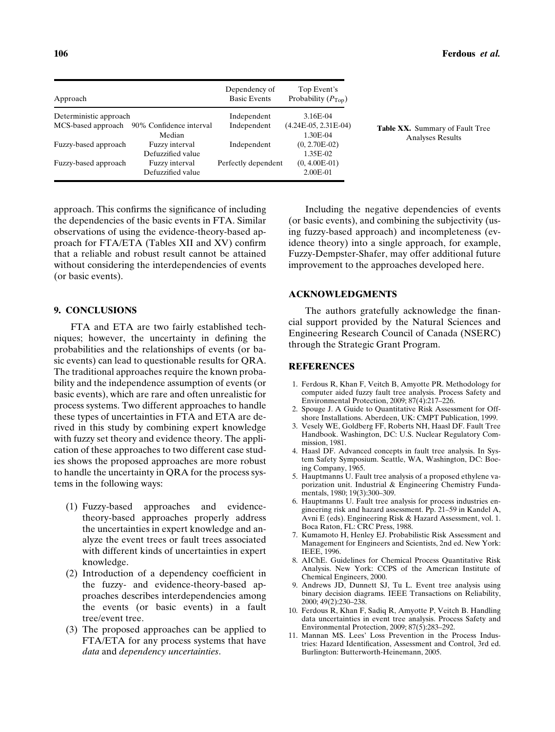| Approach<br>Deterministic approach |                         | Dependency of<br><b>Basic Events</b> | Top Event's<br>Probability $(P_{\text{Top}})$ |                                 |
|------------------------------------|-------------------------|--------------------------------------|-----------------------------------------------|---------------------------------|
|                                    |                         | Independent                          | $3.16E-04$                                    |                                 |
| MCS-based approach                 | 90% Confidence interval | Independent                          | $(4.24E-05, 2.31E-04)$                        | Table XX. Summary of Fault Tree |
|                                    | Median                  |                                      | 1.30E-04                                      | <b>Analyses Results</b>         |
| Fuzzy-based approach               | Fuzzy interval          | Independent                          | $(0, 2.70E-02)$                               |                                 |
|                                    | Defuzzified value       |                                      | 1.35E-02                                      |                                 |
| Fuzzy-based approach               | Fuzzy interval          | Perfectly dependent                  | $(0, 4.00E-01)$                               |                                 |
|                                    | Defuzzified value       |                                      | 2.00E-01                                      |                                 |

approach. This confirms the significance of including the dependencies of the basic events in FTA. Similar observations of using the evidence-theory-based approach for FTA/ETA (Tables XII and XV) confirm that a reliable and robust result cannot be attained without considering the interdependencies of events (or basic events).

# **9. CONCLUSIONS**

FTA and ETA are two fairly established techniques; however, the uncertainty in defining the probabilities and the relationships of events (or basic events) can lead to questionable results for QRA. The traditional approaches require the known probability and the independence assumption of events (or basic events), which are rare and often unrealistic for process systems. Two different approaches to handle these types of uncertainties in FTA and ETA are derived in this study by combining expert knowledge with fuzzy set theory and evidence theory. The application of these approaches to two different case studies shows the proposed approaches are more robust to handle the uncertainty in QRA for the process systems in the following ways:

- (1) Fuzzy-based approaches and evidencetheory-based approaches properly address the uncertainties in expert knowledge and analyze the event trees or fault trees associated with different kinds of uncertainties in expert knowledge.
- (2) Introduction of a dependency coefficient in the fuzzy- and evidence-theory-based approaches describes interdependencies among the events (or basic events) in a fault tree/event tree.
- (3) The proposed approaches can be applied to FTA/ETA for any process systems that have *data* and *dependency uncertainties*.

Including the negative dependencies of events (or basic events), and combining the subjectivity (using fuzzy-based approach) and incompleteness (evidence theory) into a single approach, for example, Fuzzy-Dempster-Shafer, may offer additional future improvement to the approaches developed here.

# **ACKNOWLEDGMENTS**

The authors gratefully acknowledge the financial support provided by the Natural Sciences and Engineering Research Council of Canada (NSERC) through the Strategic Grant Program.

# **REFERENCES**

- 1. Ferdous R, Khan F, Veitch B, Amyotte PR. Methodology for computer aided fuzzy fault tree analysis. Process Safety and Environmental Protection, 2009; 87(4):217–226.
- 2. Spouge J. A Guide to Quantitative Risk Assessment for Offshore Installations. Aberdeen, UK: CMPT Publication, 1999.
- 3. Vesely WE, Goldberg FF, Roberts NH, Haasl DF. Fault Tree Handbook. Washington, DC: U.S. Nuclear Regulatory Commission, 1981.
- 4. Haasl DF. Advanced concepts in fault tree analysis. In System Safety Symposium. Seattle, WA, Washington, DC: Boeing Company, 1965.
- 5. Hauptmanns U. Fault tree analysis of a proposed ethylene vaporization unit. Industrial & Engineering Chemistry Fundamentals, 1980; 19(3):300–309.
- 6. Hauptmanns U. Fault tree analysis for process industries engineering risk and hazard assessment. Pp. 21–59 in Kandel A, Avni E (eds). Engineering Risk & Hazard Assessment, vol. 1. Boca Raton, FL: CRC Press, 1988.
- 7. Kumamoto H, Henley EJ. Probabilistic Risk Assessment and Management for Engineers and Scientists, 2nd ed. New York: IEEE, 1996.
- 8. AIChE. Guidelines for Chemical Process Quantitative Risk Analysis. New York: CCPS of the American Institute of Chemical Engineers, 2000.
- 9. Andrews JD, Dunnett SJ, Tu L. Event tree analysis using binary decision diagrams. IEEE Transactions on Reliability, 2000; 49(2):230–238.
- 10. Ferdous R, Khan F, Sadiq R, Amyotte P, Veitch B. Handling data uncertainties in event tree analysis. Process Safety and Environmental Protection, 2009; 87(5):283–292.
- 11. Mannan MS. Lees' Loss Prevention in the Process Industries: Hazard Identification, Assessment and Control, 3rd ed. Burlington: Butterworth-Heinemann, 2005.